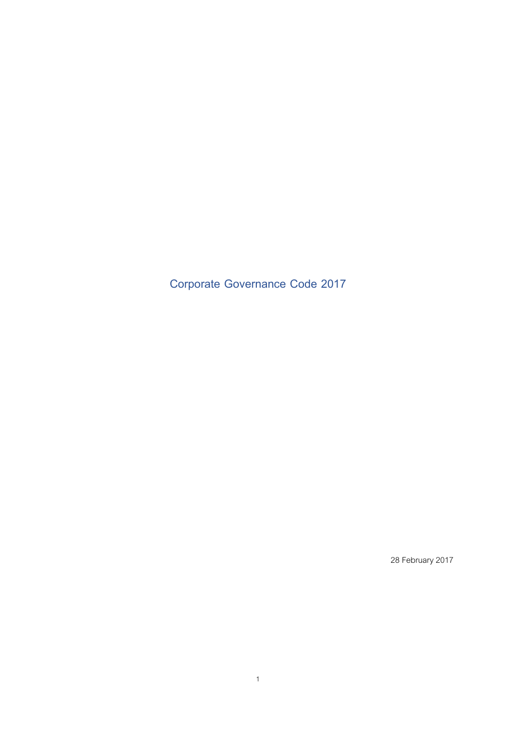**Corporate Governance Code 2017**

28 February 2017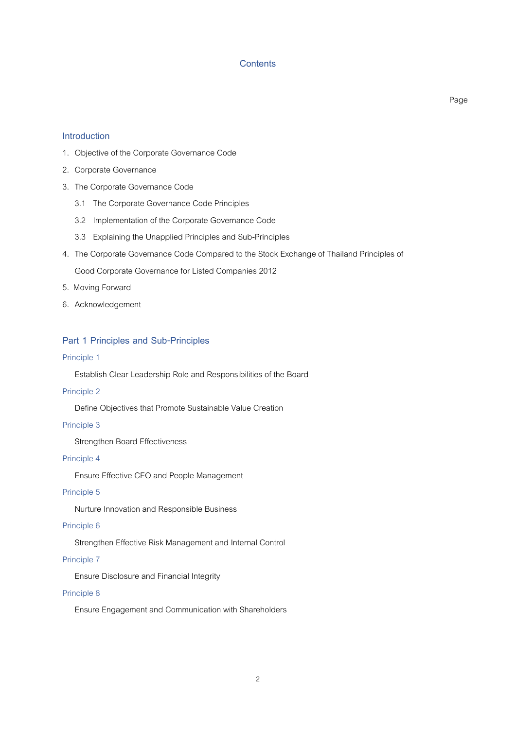## **Contents**

Page

## **Introduction**

- 1. Objective of the Corporate Governance Code
- 2. Corporate Governance
- 3. The Corporate Governance Code
	- 3.1 The Corporate Governance Code Principles
	- 3.2 Implementation of the Corporate Governance Code
	- 3.3 Explaining the Unapplied Principles and Sub-Principles
- 4. The Corporate Governance Code Compared to the Stock Exchange of Thailand Principles of

Good Corporate Governance for Listed Companies 2012

- 5. Moving Forward
- 6. Acknowledgement

## **Part 1 Principles and Sub-Principles**

### Principle 1

Establish Clear Leadership Role and Responsibilities of the Board

#### Principle 2

Define Objectives that Promote Sustainable Value Creation

### Principle 3

Strengthen Board Effectiveness

### Principle 4

Ensure Effective CEO and People Management

## Principle 5

Nurture Innovation and Responsible Business

## Principle 6

Strengthen Effective Risk Management and Internal Control

## Principle 7

Ensure Disclosure and Financial Integrity

#### Principle 8

Ensure Engagement and Communication with Shareholders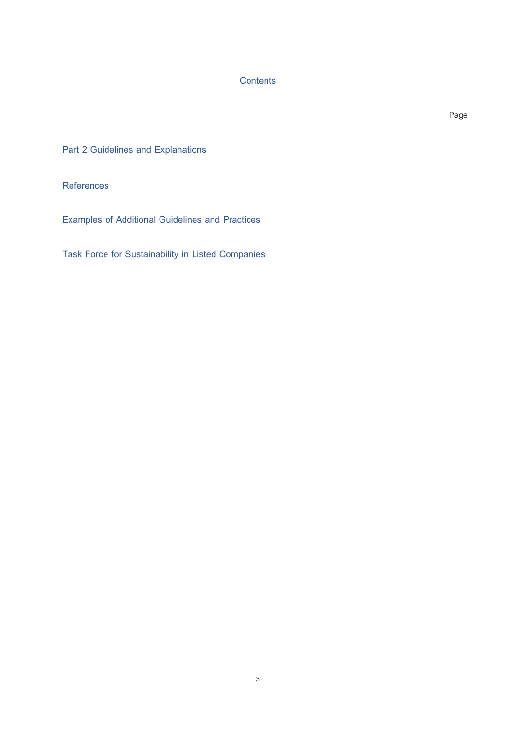**Contents**

Page

**Part 2 Guidelines and Explanations**

**References**

**Examples of Additional Guidelines and Practices**

**Task Force for Sustainability in Listed Companies**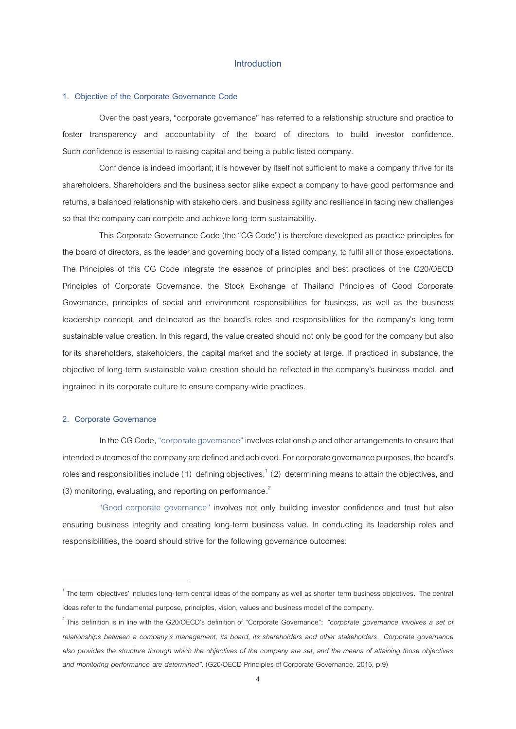## **Introduction**

#### **1. Objective of the Corporate Governance Code**

Over the past years, "corporate governance" has referred to arelationship structure and practice to foster transparency and accountability of the board of directors to build investor confidence. Such confidence is essential to raising capital and being a public listed company.

Confidence is indeed important; it is however by itself not sufficient to make a company thrive for its shareholders. Shareholders and the business sector alike expect a company to have good performance and returns, a balanced relationship with stakeholders, and business agility and resilience in facing new challenges so that the company can compete and achieve long-term sustainability.

This Corporate Governance Code (the "CG Code") is therefore developed as practice principles for the board of directors, as the leader and governing body of a listed company, to fulfil all of those expectations. The Principles of this CG Code integrate the essence of principles and best practices of the G20/OECD Principles of Corporate Governance, the Stock Exchange of Thailand Principles of Good Corporate Governance, principles of social and environment responsibilities for business, as well as the business leadership concept, and delineated as the board's roles and responsibilities for the company's long-term sustainable value creation. In this regard, the value created should not only be good for the company but also for its shareholders, stakeholders, the capital market and the society at large. If practiced in substance, the objective of long-term sustainable value creation should be reflected inthe company's business model, and ingrained in its corporate culture to ensure company-wide practices.

#### **2. Corporate Governance**

**.** 

In the CG Code, "corporate governance" involves relationship and other arrangements to ensure that intended outcomes of the company are defined and achieved. For corporate governance purposes, the board's roles and responsibilities include (1) defining objectives,<sup>1</sup> (2) determining means to attain the objectives, and (3) monitoring, evaluating, and reporting on performance.<sup>2</sup>

"Good corporate governance" involves not only building investor confidence and trust but also ensuring business integrity and creating long-term business value. In conducting its leadership roles and responsiblilities, the board should strive for the following governance outcomes:

 $^1$ The term 'objectives' includes long-term central ideas of the company as well as shorter term business objectives. The central ideas refer to the fundamental purpose, principles, vision, values and business model of the company.

<sup>2</sup> This definition is in line with the G20/OECD's definition of "Corporate Governance": *"corporate governance involves a set of relationships between a company's management, its board, its shareholders and other stakeholders. Corporate governance also provides the structure through which the objectives of the company are set, and the means of attaining those objectives and monitoring performance are determined"*. (G20/OECD Principles of Corporate Governance, 2015, p.9)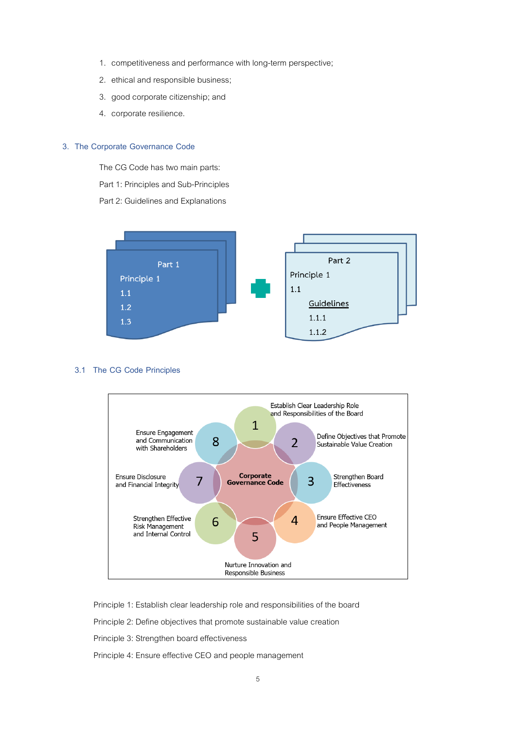- 1. competitiveness and performance with long-term perspective;
- 2. ethical and responsible business;
- 3. good corporate citizenship;and
- 4. corporate resilience.

## **3. The Corporate Governance Code**

The CG Code has two main parts:

Part 1: Principles and Sub-Principles

Part 2: Guidelines and Explanations



### **3.1 The CG Code Principles**



Principle 1: Establish clear leadership role and responsibilities of the board

Principle 2: Define objectives that promote sustainable value creation

Principle 3: Strengthen board effectiveness

Principle 4: Ensure effective CEO and people management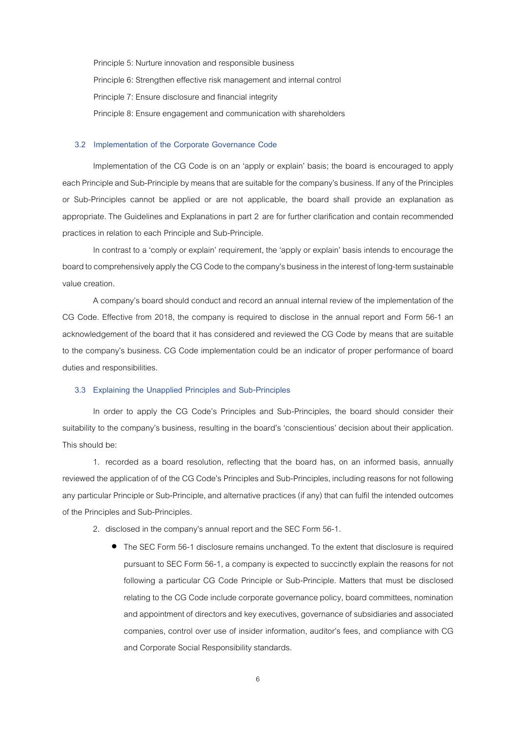Principle 5: Nurture innovation and responsible business Principle 6: Strengthen effective risk management and internal control Principle 7: Ensure disclosure and financial integrity Principle 8: Ensure engagement and communication with shareholders

#### **3.2 Implementation of the Corporate Governance Code**

Implementation of the CG Code is on an 'apply or explain' basis; the board is encouraged to apply each Principle and Sub-Principle by means that are suitable for the company's business. If any of the Principles or Sub-Principles cannot be applied or are not applicable, the board shall provide an explanation as appropriate. The Guidelines and Explanations in part 2 are for further clarification and contain recommended practices in relation to each Principle and Sub-Principle.

In contrast to a 'comply or explain' requirement, the 'apply or explain' basis intends to encourage the board to comprehensively apply the CG Code to the company's business in the interest of long-term sustainable value creation.

A company's board should conduct and record an annual internal review of the implementation of the CG Code. Effective from 2018, the company is required to disclose in the annual report and Form 56-1 an acknowledgement of the board that it has considered and reviewed the CG Code by means that are suitable to the company's business. CG Code implementation could be an indicator of proper performance of board duties and responsibilities.

#### **3.3 Explaining the Unapplied Principles and Sub-Principles**

In order to apply the CG Code's Principles and Sub-Principles, the board should consider their suitability to the company's business, resulting in the board's 'conscientious' decision about their application. This should be:

1. recorded as a board resolution, reflecting that the board has, on an informed basis, annually reviewed the application of of the CG Code's Principles and Sub-Principles, including reasons for not following any particular Principle or Sub-Principle, and alternative practices (if any) that can fulfil the intended outcomes of the Principles and Sub-Principles.

2. disclosed in the company's annual report and the SEC Form 56-1.

• The SEC Form 56-1 disclosure remains unchanged. To the extent that disclosure is required pursuant to SEC Form 56-1, a company is expected to succinctly explain the reasons for not following a particular CG Code Principle or Sub-Principle. Matters that must be disclosed relating to the CG Code include corporate governance policy, board committees, nomination and appointment of directors and key executives, governance of subsidiaries and associated companies, control over use of insider information, auditor's fees, and compliance with CG and Corporate Social Responsibility standards.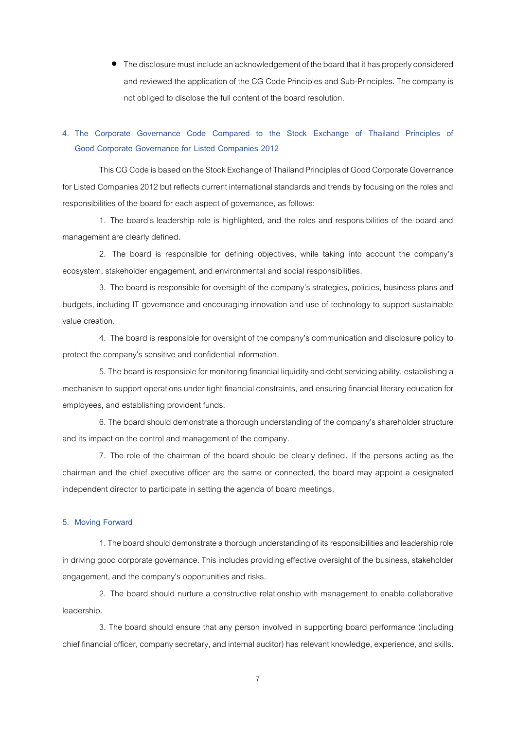• The disclosure must include an acknowledgement of the board that it has properly considered and reviewed the application of the CG Code Principles and Sub-Principles.The company is not obliged to disclose the full content of the board resolution.

# **4. The Corporate Governance Code Compared to the Stock Exchange of Thailand Principles of Good Corporate Governance for Listed Companies 2012**

This CG Code is based on the Stock Exchange of Thailand Principles of Good Corporate Governance for Listed Companies 2012 but reflects current international standards and trends by focusing on the roles and responsibilities of the board for each aspect of governance, as follows:

1. The board's leadership role is highlighted, and the roles and responsibilities of the board and management are clearly defined.

2. The board is responsible for defining objectives, while taking into account the company's ecosystem, stakeholder engagement, and environmental and social responsibilities.

3. The board is responsible for oversight of the company's strategies, policies, business plans and budgets, including IT governance and encouraging innovation and use of technology to support sustainable value creation.

4. The board is responsible for oversight of the company's communication and disclosure policy to protect the company's sensitive and confidential information.

5. The board is responsible for monitoring financial liquidity and debt servicing ability, establishing a mechanism to support operations under tight financial constraints, and ensuring financial literary education for employees, and establishing provident funds.

6. The board should demonstrate a thorough understanding of the company's shareholder structure and its impact on the control and management of the company.

7. The role of the chairman of the board should be clearly defined. If the persons acting as the chairman and the chief executive officer are the same or connected, the board may appoint a designated independent director to participate in setting the agenda of board meetings.

### **5. Moving Forward**

1. The board should demonstrate a thorough understanding of its responsibilities and leadership role in driving good corporate governance. This includes providing effective oversight of the business, stakeholder engagement, and the company's opportunities and risks.

2. The board should nurture a constructive relationship with management to enable collaborative leadership.

3. The board should ensure that any person involved in supporting board performance (including chief financial officer, company secretary, and internal auditor) has relevant knowledge, experience, and skills.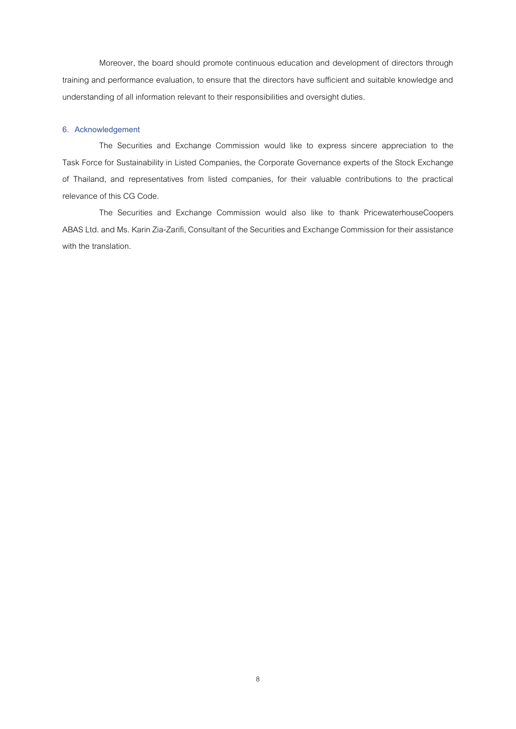Moreover, the board should promote continuous education and development of directors through training and performance evaluation, to ensure that the directors have sufficient and suitable knowledge and understanding of all information relevant to their responsibilities and oversight duties.

## **6. Acknowledgement**

The Securities and Exchange Commission would like to express sincere appreciation to the Task Force for Sustainability in Listed Companies, the Corporate Governance experts of the Stock Exchange of Thailand, and representatives from listed companies, for their valuable contributions to the practical relevance of this CG Code.

The Securities and Exchange Commission would also like to thank PricewaterhouseCoopers ABAS Ltd. and Ms. Karin Zia-Zarifi, Consultant of the Securities and Exchange Commission for their assistance with the translation.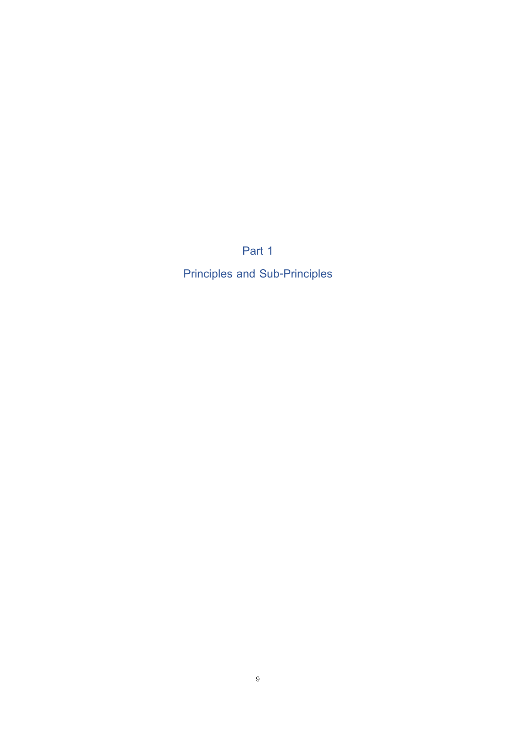**Part 1** 

**Principles and Sub-Principles**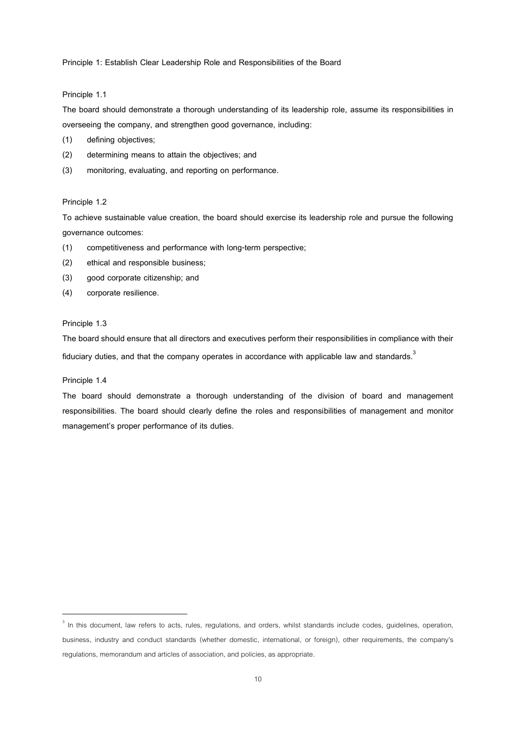**Principle 1: Establish Clear Leadership Role and Responsibilities of the Board**

### **Principle 1.1**

**The board should demonstrate a thorough understanding of its leadership role, assume its responsibilities in overseeing the company, and strengthen good governance, including:**

- **(1) defining objectives;**
- **(2) determining means to attain the objectives; and**
- **(3) monitoring, evaluating, and reporting on performance.**

### **Principle 1.2**

**To achieve sustainable value creation, the board should exercise its leadership role and pursue the following governance outcomes:**

- **(1) competitiveness and performance with long-term perspective;**
- **(2) ethical and responsible business;**
- **(3) good corporate citizenship; and**
- **(4) corporate resilience.**

#### **Principle 1.3**

**The board should ensure that all directors and executives perform their responsibilities in compliance with their fiduciary duties, and that the company operates in accordance with applicable law and standards. 3**

#### **Principle 1.4**

 $\overline{a}$ 

**The board should demonstrate a thorough understanding of the division of board and management responsibilities. The board should clearly define the roles and responsibilities of management and monitor management's proper performance of its duties.**

 $3$  In this document, law refers to acts, rules, regulations, and orders, whilst standards include codes, guidelines, operation, business, industry and conduct standards (whether domestic, international, or foreign), other requirements, the company's regulations, memorandum and articles of association, and policies, as appropriate.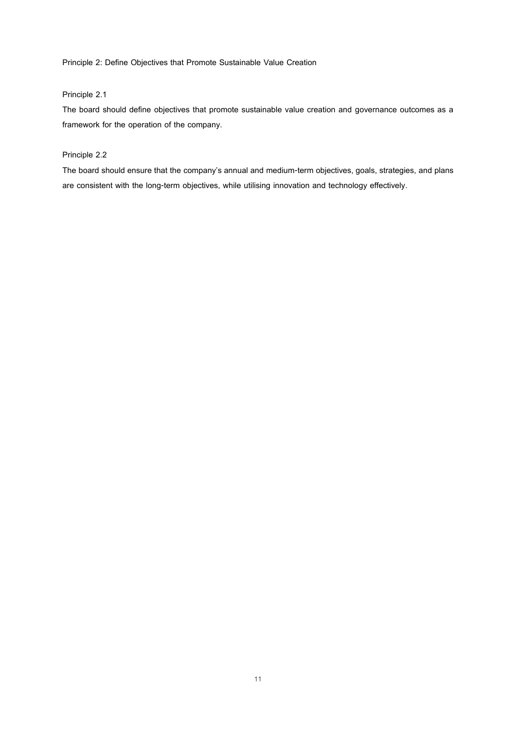**Principle 2: Define Objectives that Promote Sustainable Value Creation**

## **Principle 2.1**

**The board should define objectives that promote sustainable value creation and governance outcomes as a framework for the operation of the company.**

## **Principle 2.2**

**The board should ensure that the company's annual and medium-term objectives, goals, strategies, and plans are consistent with the long-term objectives, while utilising innovation and technology effectively.**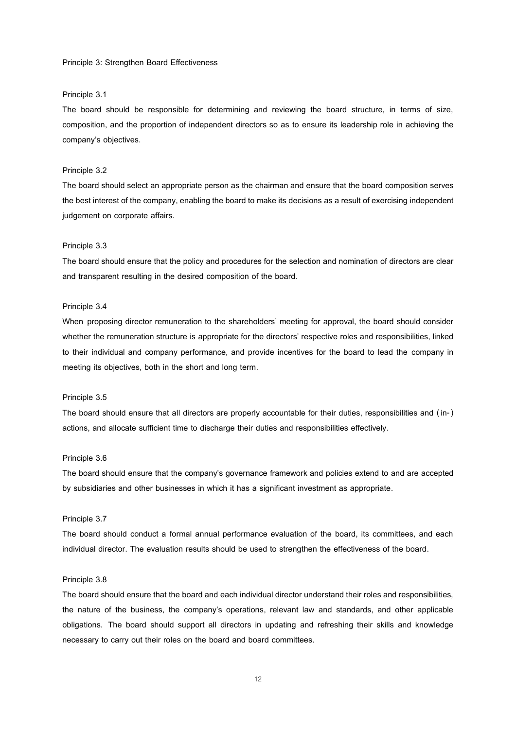#### **Principle 3: Strengthen Board Effectiveness**

#### **Principle 3.1**

**The board should be responsible for determining and reviewing the board structure, in terms of size, composition, and the proportion of independent directors so as to ensure its leadership role in achieving the company's objectives.**

#### **Principle 3.2**

**The board should select an appropriate person as the chairman and ensure that the board composition serves the best interest of the company, enabling the board to make its decisions as a result of exercising independent judgement on corporate affairs.**

#### **Principle 3.3**

**The board should ensure that the policy and procedures for the selection and nomination of directors are clear and transparent resulting in the desired composition of the board.**

### **Principle 3.4**

**When proposing director remuneration to the shareholders' meeting for approval, the board should consider whether the remuneration structure is appropriate for the directors' respective roles and responsibilities, linked to their individual and company performance, and provide incentives for the board to lead the company in meeting its objectives, both in the short and long term.**

#### **Principle 3.5**

**The board should ensure that all directors are properly accountable for their duties, responsibilities and ( in-) actions, and allocate sufficient time to discharge their duties and responsibilities effectively.**

#### **Principle 3.6**

**The board should ensure that the company's governance framework and policies extend to and are accepted by subsidiaries and other businesses in which it has a significant investment as appropriate.**

### **Principle 3.7**

**The board should conduct a formal annual performance evaluation of the board, its committees, and each individual director. The evaluation results should be used to strengthen the effectiveness of the board.**

#### **Principle 3.8**

**The board should ensure that the board and each individual director understand their roles and responsibilities, the nature of the business, the company's operations, relevant law and standards, and other applicable obligations. The board should support all directors in updating and refreshing their skills and knowledge necessary to carry out their roles on the board and board committees.**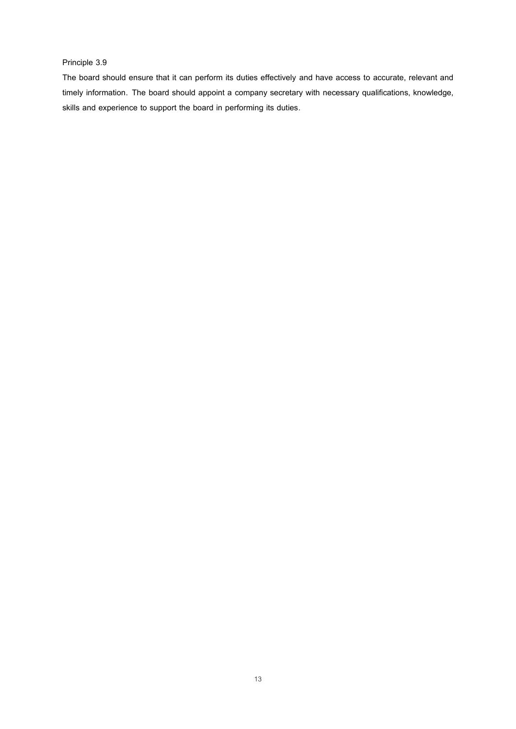## **Principle 3.9**

**The board should ensure that it can perform its duties effectively and have access to accurate, relevant and timely information. The board should appoint a company secretary with necessary qualifications, knowledge, skills and experience to support the board in performing its duties.**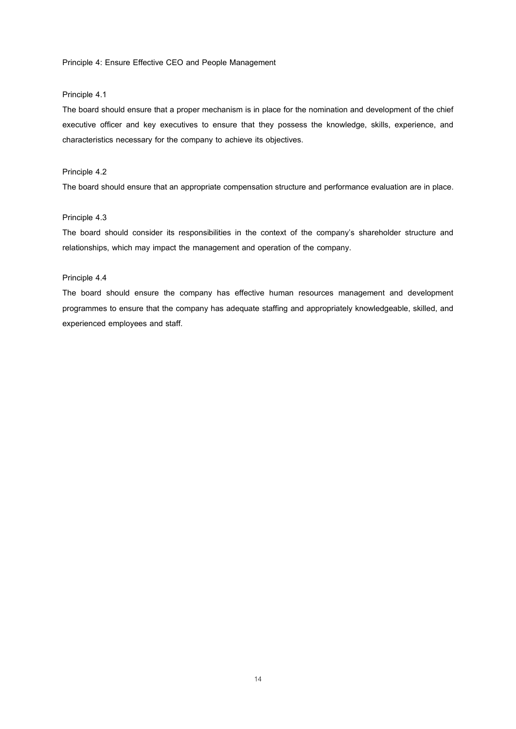**Principle 4: Ensure Effective CEO and People Management**

### **Principle 4.1**

**The board should ensure that a proper mechanism is in place for the nomination and development of the chief executive officer and key executives to ensure that they possess the knowledge, skills, experience, and characteristics necessary for the company to achieve its objectives.**

### **Principle 4.2**

**The board should ensure that an appropriate compensation structure and performance evaluation are in place.**

### **Principle 4.3**

**The board should consider its responsibilities in the context of the company's shareholder structure and relationships, which may impact the management and operation of the company.** 

### **Principle 4.4**

**The board should ensure the company has effective human resources management and development programmes to ensure that the company has adequate staffing and appropriately knowledgeable, skilled, and experienced employees and staff.**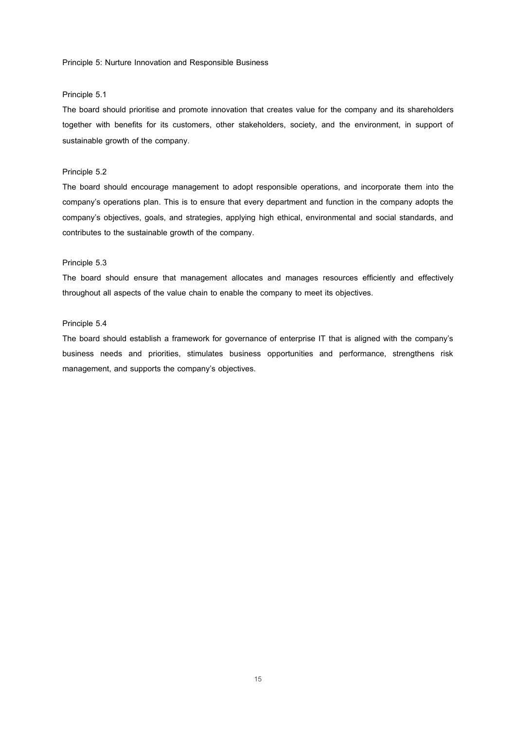**Principle 5: Nurture Innovation and Responsible Business**

### **Principle 5.1**

**The board should prioritise and promote innovation that creates value for the company and its shareholders together with benefits for its customers, other stakeholders, society, and the environment, in support of sustainable growth of the company**.

#### **Principle 5.2**

**The board should encourage management to adopt responsible operations, and incorporate them into the company's operations plan. This is to ensure that every department and function in the company adopts the company's objectives, goals, and strategies, applying high ethical, environmental and social standards, and contributes to the sustainable growth of the company.**

#### **Principle 5.3**

**The board should ensure that management allocates and manages resources efficiently and effectively throughout all aspects of the value chain to enable the company to meet its objectives.**

### **Principle 5.4**

**The board should establish a framework for governance of enterprise IT that is aligned with the company's business needs and priorities, stimulates business opportunities and performance, strengthens risk management, and supports the company's objectives.**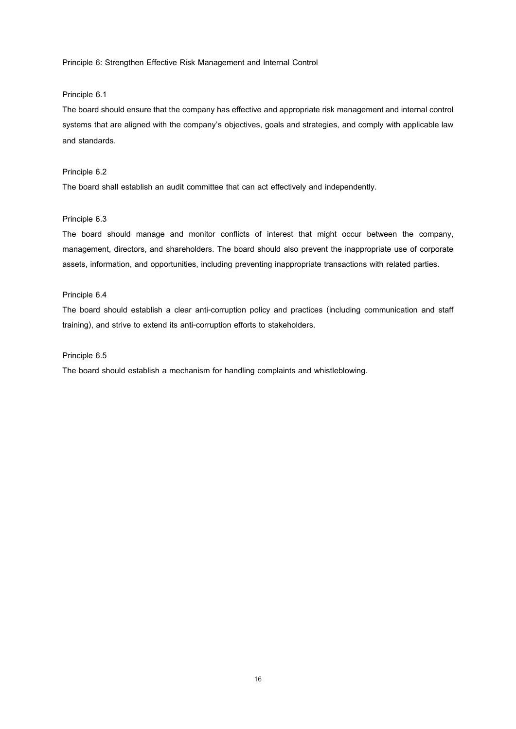**Principle 6: Strengthen Effective Risk Management and Internal Control**

### **Principle 6.1**

**The board should ensure that the company has effective and appropriate risk management and internal control systems that are aligned with the company's objectives, goals and strategies, and comply with applicable law and standards**.

#### **Principle 6.2**

**The board shall establish an audit committee that can act effectively and independently.**

### **Principle 6.3**

**The board should manage and monitor conflicts of interest that might occur between the company, management, directors, and shareholders. The board should also prevent the inappropriate use of corporate assets, information, and opportunities, including preventing inappropriate transactions with related parties.**

### **Principle 6.4**

**The board should establish a clear anti-corruption policy and practices (including communication and staff training), and strive to extend its anti-corruption efforts to stakeholders.**

### **Principle 6.5**

**The board should establish a mechanism for handling complaints and whistleblowing.**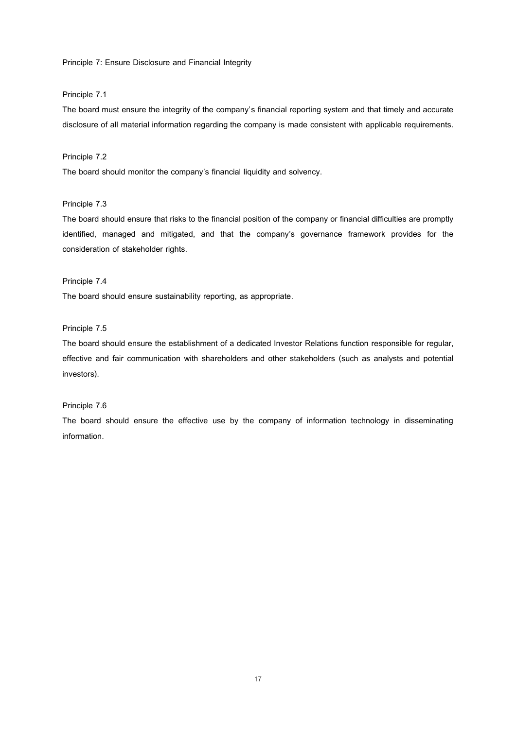**Principle 7: Ensure Disclosure and Financial Integrity**

### **Principle 7.1**

**The board must ensure the integrity of the company's financial reporting system and that timely and accurate disclosure of all material information regarding the company is made consistent with applicable requirements.** 

### **Principle 7.2**

**The board should monitor the company's financial liquidity and solvency.**

## **Principle 7.3**

**The board should ensure that risks to the financial position of the company or financial difficulties are promptly identified, managed and mitigated, and that the company's governance framework provides for the consideration of stakeholder rights.**

## **Principle 7.4**

**The board should ensure sustainability reporting, as appropriate.**

## **Principle 7.5**

**The board should ensure the establishment of a dedicated Investor Relations function responsible for regular, effective and fair communication with shareholders and other stakeholders (such as analysts and potential investors).**

## **Principle 7.6**

**The board should ensure the effective use by the company of information technology in disseminating information.**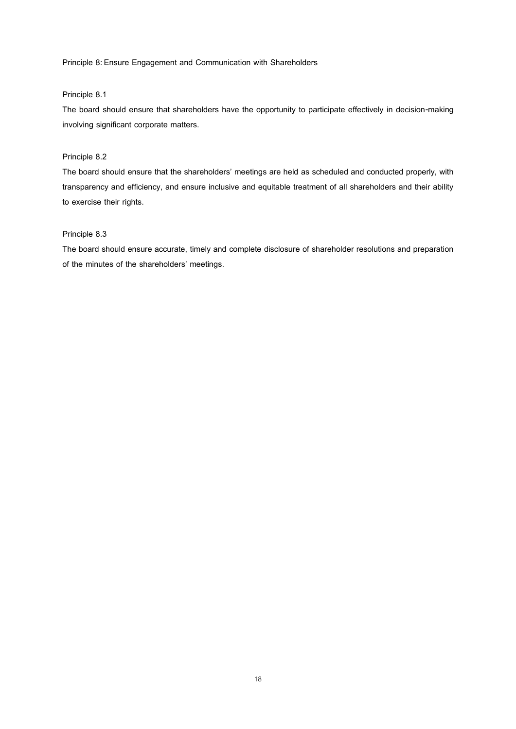**Principle 8: Ensure Engagement and Communication with Shareholders**

### **Principle 8.1**

**The board should ensure that shareholders have the opportunity to participate effectively in decision-making involving significant corporate matters.**

## **Principle 8.2**

**The board should ensure that the shareholders' meetings are held as scheduled and conducted properly, with transparency and efficiency, and ensure inclusive and equitable treatment of all shareholders and their ability to exercise their rights.** 

## **Principle 8.3**

**The board should ensure accurate, timely and complete disclosure of shareholder resolutions and preparation of the minutes of the shareholders' meetings.**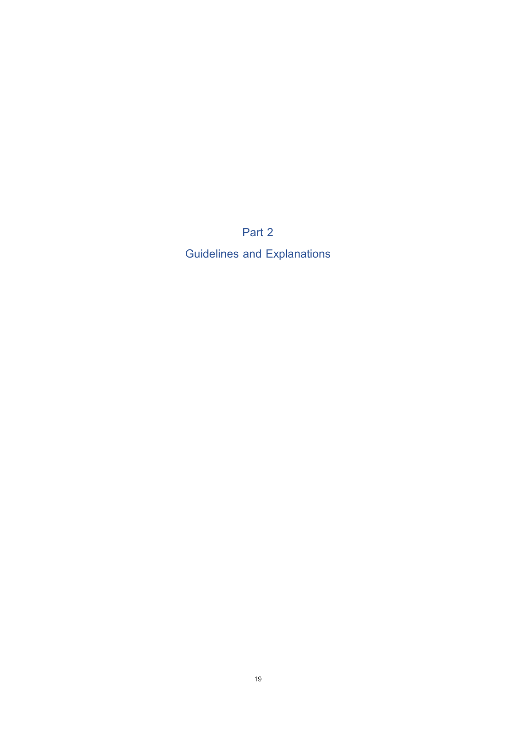**Part 2**

**Guidelines and Explanations**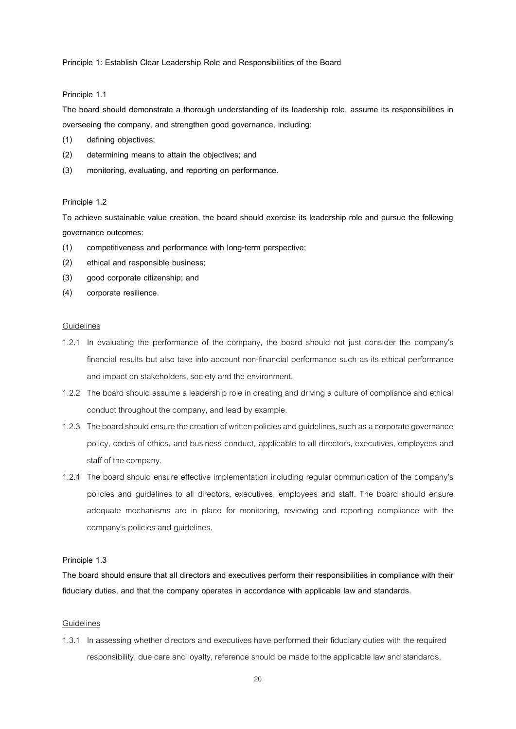**Principle 1: Establish Clear Leadership Role and Responsibilities of the Board**

#### **Principle 1.1**

**The board should demonstrate a thorough understanding of its leadership role, assume its responsibilities in overseeing the company, and strengthen good governance, including:**

- **(1) defining objectives;**
- **(2) determining means to attain the objectives; and**
- **(3) monitoring, evaluating, and reporting on performance.**

#### **Principle 1.2**

**To achieve sustainable value creation, the board should exercise its leadership role and pursue the following governance outcomes:**

- **(1) competitiveness and performance with long-term perspective;**
- **(2) ethical and responsible business;**
- **(3) good corporate citizenship; and**
- **(4) corporate resilience.**

### Guidelines

- 1.2.1 In evaluating the performance of the company, the board should not just consider the company's financial results but also take into account non-financial performance such as its ethical performance and impact on stakeholders, society and the environment.
- 1.2.2 The board should assume a leadership role in creating and driving a culture of compliance and ethical conduct throughout the company, and lead by example.
- 1.2.3 The board should ensure the creation of written policies and guidelines, such as a corporate governance policy, codes of ethics, and business conduct, applicable to all directors, executives, employees and staff of the company.
- 1.2.4 The board should ensure effective implementation including regular communication of the company's policies and guidelines to all directors, executives, employees and staff. The board should ensure adequate mechanisms are in place for monitoring, reviewing and reporting compliance with the company's policies and guidelines.

#### **Principle 1.3**

**The board should ensure that all directors and executives perform their responsibilities in compliance with their fiduciary duties, and that the company operates in accordance with applicable law and standards.**

#### Guidelines

1.3.1 In assessing whether directors and executives have performed their fiduciary duties with the required responsibility, due care and loyalty, reference should be made to the applicable law and standards,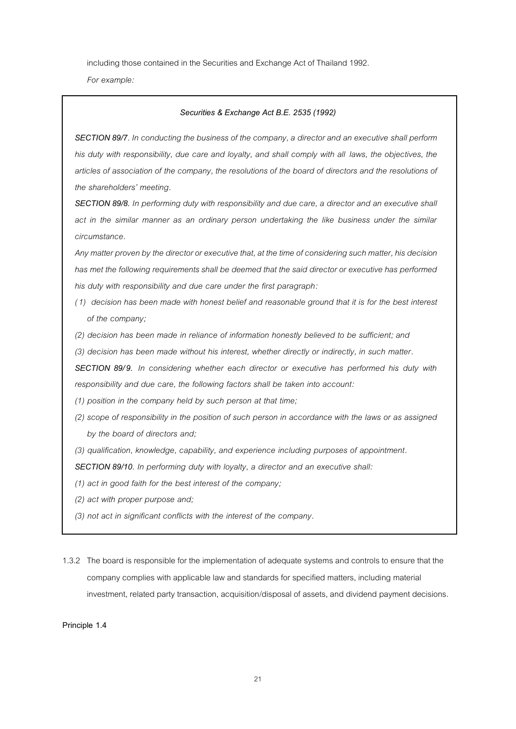including those contained in the Securities and Exchange Act of Thailand 1992.

*For example:*

### *Securities & Exchange Act B.E. 2535 (1992)*

*SECTION 89/7. In conducting the business of the company, a director and an executive shall perform his duty with responsibility, due care and loyalty, and shall comply with all laws, the objectives, the articles of association of the company, the resolutions of the board of directors and the resolutions of the shareholders' meeting.*

*SECTION 89/8. In performing duty with responsibility and due care, a director and an executive shall act in the similar manner as an ordinary person undertaking the like business under the similar circumstance.*

*Any matter proven by the director or executive that, at the time of considering such matter, his decision has met the following requirements shall be deemed that the said director or executive has performed his duty with responsibility and due care under the first paragraph:*

- *(1) decision has been made with honest belief and reasonable ground that it is for the best interest of the company;*
- *(2) decision has been made in reliance of information honestly believed to be sufficient; and*
- *(3) decision has been made without his interest, whether directly or indirectly, in such matter.*

*SECTION 89/9. In considering whether each director or executive has performed his duty with responsibility and due care, the following factors shall be taken into account:*

*(1) position in the company held by such person at that time;*

- *(2) scope of responsibility in the position of such person in accordance with the laws or as assigned by the board of directors and;*
- *(3) qualification, knowledge, capability, and experience including purposes of appointment.*

*SECTION 89/10. In performing duty with loyalty, a director and an executive shall:*

- *(1) act in good faith for the best interest of the company;*
- *(2) act with proper purpose and;*
- *(3) not act in significant conflicts with the interest of the company.*

1.3.2 The board is responsible for the implementation of adequate systemsand controls to ensure that the company complies with applicable law and standards for specified matters, including material investment, related party transaction, acquisition/disposal of assets, and dividend payment decisions.

**Principle 1.4**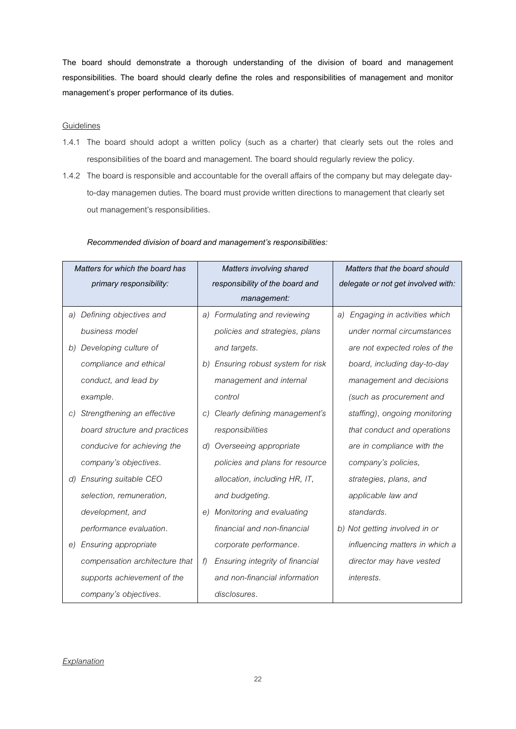**The board should demonstrate a thorough understanding of the division of board and management responsibilities. The board should clearly define the roles and responsibilities of management and monitor management's proper performance of its duties.**

### **Guidelines**

- 1.4.1 The board should adopt a written policy (such as a charter) that clearly sets out the roles and responsibilities of the board and management. The board should regularly review the policy.
- 1.4.2 The board is responsible and accountable for the overall affairs of the company but may delegate dayto-day managemen duties. The board must provide written directions to management that clearly set out management's responsibilities.

| Matters for which the board has  | Matters involving shared                | Matters that the board should      |
|----------------------------------|-----------------------------------------|------------------------------------|
| primary responsibility:          | responsibility of the board and         | delegate or not get involved with: |
|                                  | management:                             |                                    |
| Defining objectives and<br>a)    | a) Formulating and reviewing            | Engaging in activities which<br>a) |
| business model                   | policies and strategies, plans          | under normal circumstances         |
| b) Developing culture of         | and targets.                            | are not expected roles of the      |
| compliance and ethical           | Ensuring robust system for risk<br>b)   | board, including day-to-day        |
| conduct, and lead by             | management and internal                 | management and decisions           |
| example.                         | control                                 | (such as procurement and           |
| Strengthening an effective<br>C) | Clearly defining management's<br>C)     | staffing), ongoing monitoring      |
| board structure and practices    | responsibilities                        | that conduct and operations        |
| conducive for achieving the      | Overseeing appropriate<br>$\mathcal{A}$ | are in compliance with the         |
| company's objectives.            | policies and plans for resource         | company's policies,                |
| d) Ensuring suitable CEO         | allocation, including HR, IT,           | strategies, plans, and             |
| selection, remuneration,         | and budgeting.                          | applicable law and                 |
| development, and                 | Monitoring and evaluating<br>e)         | standards.                         |
| performance evaluation.          | financial and non-financial             | b) Not getting involved in or      |
| Ensuring appropriate<br>e)       | corporate performance.                  | influencing matters in which a     |
| compensation architecture that   | Ensuring integrity of financial<br>f)   | director may have vested           |
| supports achievement of the      | and non-financial information           | interests.                         |
| company's objectives.            | disclosures.                            |                                    |

*Recommended division of board and management's responsibilities:* 

## *Explanation*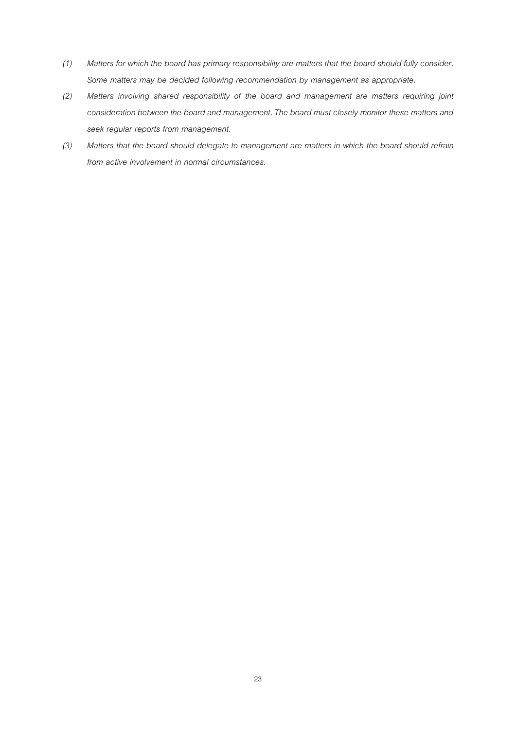- *(1) Matters for which the board has primary responsibility are matters that the board should fully consider. Some matters may be decided following recommendation by management as appropriate.*
- *(2) Matters involving shared responsibility of the board and management are matters requiring joint consideration between the board and management. The board must closely monitor these matters and seek regular reports from management.*
- *(3) Matters that the board should delegate to management are matters in which the board should refrain from active involvement in normal circumstances.*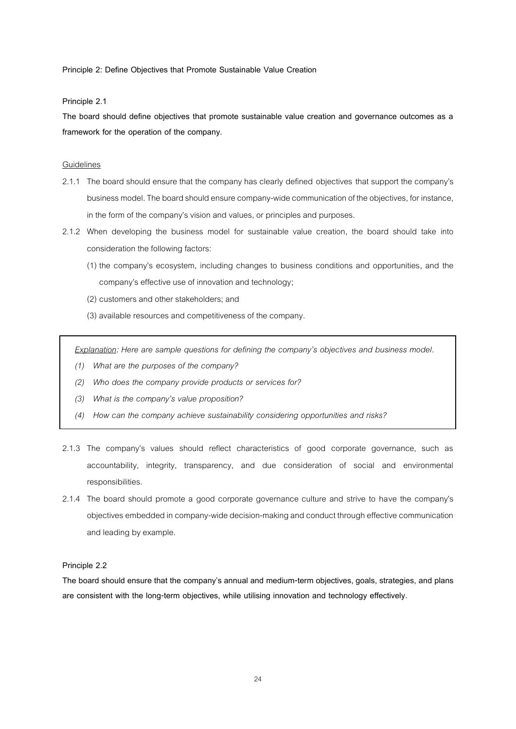**Principle 2: Define Objectives that Promote Sustainable Value Creation**

**Principle 2.1**

**The board should define objectives that promote sustainable value creation and governance outcomes as a framework for the operation of the company.** 

### **Guidelines**

- 2.1.1 The board should ensure that the company has clearly defined objectives that support the company's business model.The board should ensure company-wide communication of the objectives, for instance, in the form of the company's vision and values, or principles and purposes.
- 2.1.2 When developing the business model for sustainable value creation, the board should take into consideration the following factors:
	- (1) the company's ecosystem, including changes to business conditions and opportunities, and the company's effective use of innovation and technology;
	- (2) customers and other stakeholders; and
	- (3) available resources and competitiveness of the company.

*Explanation: Here are sample questions for defining the company's objectives and business model.*

- *(1) What are the purposes of the company?*
- *(2) Who does the company provide products or services for?*
- *(3) What is the company's value proposition?*
- *(4) How can the company achieve sustainability considering opportunities and risks?*
- 2.1.3 The company's values should reflect characteristics of good corporate governance, such as accountability, integrity, transparency, and due consideration of social and environmental responsibilities.
- 2.1.4 The board should promote a good corporate governance culture and strive to have the company's objectives embedded in company-wide decision-making and conduct through effective communication and leading by example.

### **Principle 2.2**

**The board should ensure that the company's annual and medium-term objectives, goals, strategies, and plans are consistent with the long-term objectives, while utilising innovation and technology effectively.**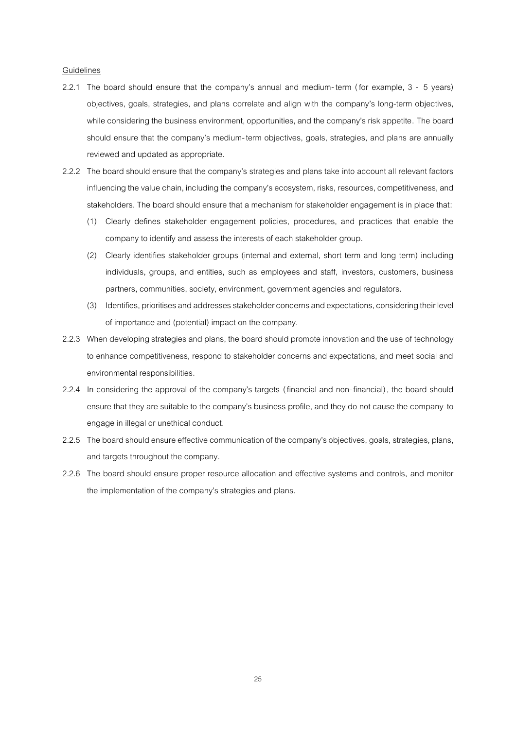- 2.2.1 The board should ensure that the company's annual and medium- term ( for example, 3 5 years) objectives, goals, strategies, and plans correlate and align with the company's long-term objectives, while considering the business environment, opportunities, and the company's risk appetite. The board should ensure that the company's medium-term objectives, goals, strategies, and plans are annually reviewed and updated as appropriate.
- 2.2.2 The board should ensure that the company's strategies and plans take into account all relevant factors influencing the value chain, including the company's ecosystem, risks, resources, competitiveness, and stakeholders. The board should ensure that a mechanism for stakeholder engagement is in place that:
	- (1) Clearly defines stakeholder engagement policies, procedures, and practices that enable the company to identify and assess the interests of each stakeholder group.
	- (2) Clearly identifies stakeholder groups (internal and external, short term and long term) including individuals, groups, and entities, such as employees and staff, investors, customers, business partners, communities, society, environment, government agencies and regulators.
	- (3) Identifies, prioritises and addressesstakeholder concerns and expectations,considering their level of importance and (potential) impact on the company.
- 2.2.3 When developing strategies and plans, the board should promote innovation and the use of technology to enhance competitiveness, respond to stakeholder concerns and expectations, and meet social and environmental responsibilities.
- 2.2.4 In considering the approval of the company's targets (financial and non-financial), the board should ensure that they are suitable to the company's business profile, and they do not cause the company to engage in illegal or unethical conduct.
- 2.2.5 The board should ensure effective communication of the company's objectives, goals, strategies, plans, and targets throughout the company.
- 2.2.6 The board should ensure proper resource allocation and effective systems and controls, and monitor the implementation of the company's strategies and plans.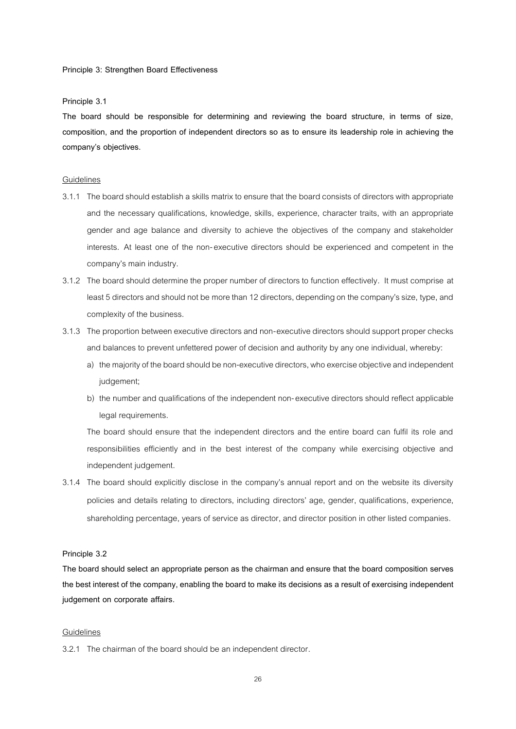#### **Principle 3: Strengthen Board Effectiveness**

### **Principle 3.1**

**The board should be responsible for determining and reviewing the board structure, in terms of size, composition, and the proportion of independent directors so as to ensure its leadership role in achieving the company's objectives.**

#### Guidelines

- 3.1.1 The board should establish a skills matrix to ensure that the board consists of directors with appropriate and the necessary qualifications, knowledge, skills, experience, character traits, with an appropriate gender and age balance and diversity to achieve the objectives of the company and stakeholder interests. At least one of the non-executive directors should be experienced and competent in the company's main industry.
- 3.1.2 The board should determine the proper number of directors to function effectively. It must comprise at least 5 directors and should not be more than 12 directors, depending on the company's size, type, and complexity of the business.
- 3.1.3 The proportion between executive directors and non-executive directors should support proper checks and balances to prevent unfettered power of decision and authority by any one individual, whereby:
	- a) the majority of the board should be non-executive directors, who exercise objective and independent judgement;
	- b) the number and qualifications of the independent non-executive directors should reflect applicable legal requirements.

The board should ensure that the independent directors and the entire board can fulfil its role and responsibilities efficiently and in the best interest of the company while exercising objective and independent judgement.

3.1.4 The board should explicitly disclose in the company's annual report and on the website its diversity policies and details relating to directors, including directors' age, gender, qualifications, experience, shareholding percentage, years of service as director, and director position in other listed companies.

### **Principle 3.2**

**The board should select an appropriate person as the chairman and ensure that the board composition serves the best interest of the company, enabling the board to make its decisions as a result of exercising independent judgement on corporate affairs.**

#### Guidelines

3.2.1 The chairman of the board should be an independent director.

26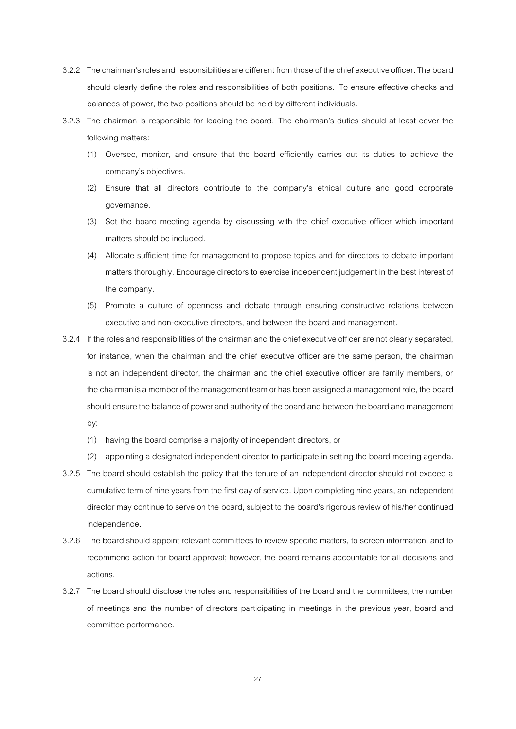- 3.2.2 The chairman's roles and responsibilities are different from those of the chief executive officer. The board should clearly define the roles and responsibilities of both positions. To ensure effective checks and balances of power, the two positions should be held by different individuals.
- 3.2.3 The chairman is responsible for leading the board. The chairman's duties should at least cover the following matters:
	- (1) Oversee, monitor, and ensure that the board efficiently carries out its duties to achieve the company's objectives.
	- (2) Ensure that all directors contribute to the company's ethical culture and good corporate governance.
	- (3) Set the board meeting agenda by discussing with the chief executive officer which important matters should be included.
	- (4) Allocate sufficient time for management to propose topics and for directors to debate important matters thoroughly. Encourage directors to exercise independent judgement in the best interest of the company.
	- (5) Promote a culture of openness and debate through ensuring constructive relations between executive and non-executive directors, and between the board and management.
- 3.2.4 If the roles and responsibilities of the chairman and the chief executive officer are not clearly separated, for instance, when the chairman and the chief executive officer are the same person, the chairman is not an independent director, the chairman and the chief executive officer are family members, or the chairman is a member of the management team or has been assigned a management role, the board should ensure the balance of power and authority of the board and between the board and management by:
	- (1) having the board comprise a majority of independent directors, or
	- (2) appointing a designated independent director to participate in setting the board meeting agenda.
- 3.2.5 The board should establish the policy that the tenure of an independent director should not exceed a cumulative term of nine years from the first day of service. Upon completing nine years, an independent director may continue to serve on the board, subject to the board's rigorous review of his/her continued independence.
- 3.2.6 The board should appoint relevant committees to review specific matters, to screen information, and to recommend action for board approval; however, the board remains accountable for all decisions and actions.
- 3.2.7 The board should disclose the roles and responsibilities of the board and the committees, the number of meetings and the number of directors participating in meetings in the previous year, board and committee performance.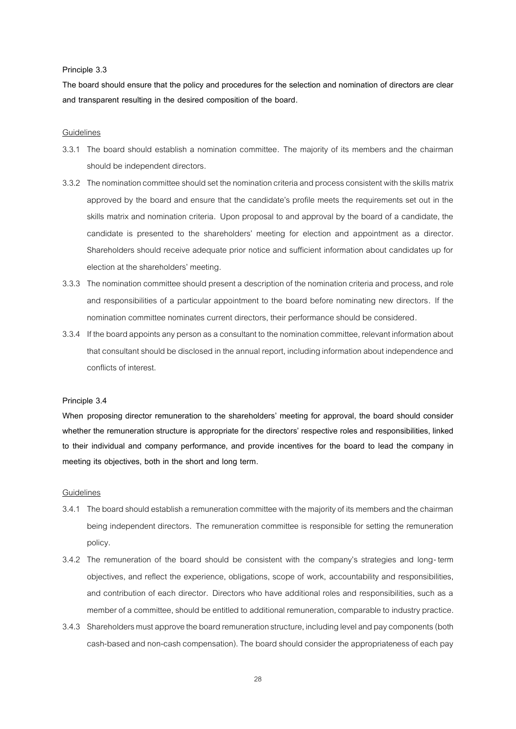#### **Principle 3.3**

**The board should ensure that the policy and procedures for the selection and nomination of directors are clear and transparent resulting in the desired composition of the board.**

### Guidelines

- 3.3.1 The board should establish a nomination committee. The majority of its members and the chairman should be independent directors.
- 3.3.2 The nomination committee should set the nomination criteria and process consistent with the skills matrix approved by the board and ensure that the candidate's profile meets the requirements set out in the skills matrix and nomination criteria. Upon proposal to and approval by the board of a candidate, the candidate is presented to the shareholders' meeting for election and appointment as a director. Shareholders should receive adequate prior notice and sufficient information about candidates up for election at the shareholders' meeting.
- 3.3.3 The nomination committee should present a description of the nomination criteria and process, and role and responsibilities of a particular appointment to the board before nominating new directors. If the nomination committee nominates current directors, their performance should be considered.
- 3.3.4 If the board appoints any person as a consultant tothe nomination committee, relevant information about that consultant should be disclosed in the annual report, including information about independence and conflicts of interest.

#### **Principle 3.4**

**When proposing director remuneration to the shareholders' meeting for approval, the board should consider whether the remuneration structure is appropriate for the directors' respective roles and responsibilities, linked to their individual and company performance, and provide incentives for the board to lead the company in meeting its objectives, both in the short and long term.**

- 3.4.1 The board should establish a remuneration committee with the majority of its members and the chairman being independent directors. The remuneration committee is responsible for setting the remuneration policy.
- 3.4.2 The remuneration of the board should be consistent with the company's strategies and long- term objectives, and reflect the experience, obligations, scope of work, accountability and responsibilities, and contribution of each director. Directors who have additional roles and responsibilities, such as a member of a committee, should be entitled to additional remuneration, comparable to industry practice.
- 3.4.3 Shareholders must approve the board remuneration structure, including level and pay components (both cash-based and non-cash compensation).The board should consider the appropriateness of each pay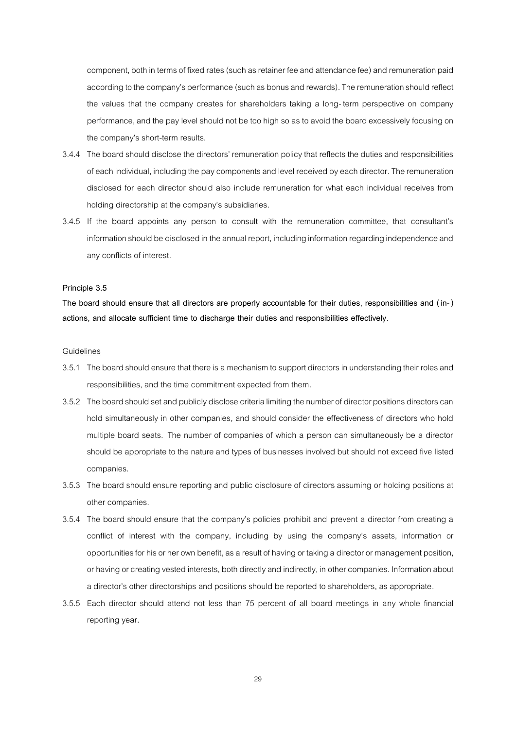component, both in terms of fixed rates (such as retainer feeand attendance fee) and remuneration paid according to the company's performance (such as bonus and rewards). The remuneration should reflect the values that the company creates for shareholders taking a long- term perspective on company performance,and the pay level should not be too high so as to avoid the board excessively focusing on the company's short-term results.

- 3.4.4 The board should disclose the directors' remuneration policy that reflects the duties and responsibilities of each individual, including the pay components and level received by each director. The remuneration disclosed for each director should also include remuneration for what each individual receives from holding directorship at the company's subsidiaries.
- 3.4.5 If the board appoints any person to consult with the remuneration committee, that consultant's information should be disclosed in the annual report, including information regarding independence and any conflicts of interest.

### **Principle 3.5**

**The board should ensure that all directors are properly accountable for their duties, responsibilities and ( in-) actions, and allocate sufficient time to discharge their duties and responsibilities effectively.**

- 3.5.1 The board should ensure that there is a mechanism to support directors in understanding their roles and responsibilities, and the time commitment expected from them.
- 3.5.2 The board should set and publicly disclose criteria limiting the number of director positions directors can hold simultaneously in other companies, and should consider the effectiveness of directors who hold multiple board seats. The number of companies of which a person can simultaneously be a director should be appropriate to the nature and types of businesses involved but should not exceed five listed companies.
- 3.5.3 The board should ensure reporting and public disclosure of directors assuming or holding positions at other companies.
- 3.5.4 The board should ensure that the company's policies prohibit and prevent a director from creating a conflict of interest with the company, including by using the company's assets, information or opportunities for his or her own benefit, as a result of having or taking a director or management position, or having or creating vested interests, both directly and indirectly, in other companies. Information about a director's other directorships and positions should be reported to shareholders, as appropriate.
- 3.5.5 Each director should attend not less than 75 percent of all board meetings in any whole financial reporting year.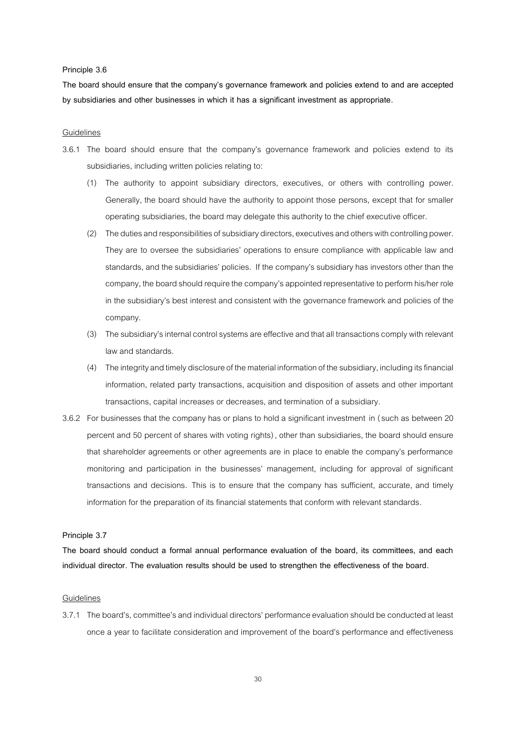#### **Principle 3.6**

**The board should ensure that the company's governance framework and policies extend to and are accepted by subsidiaries and other businesses in which it has a significant investment as appropriate.**

### Guidelines

- 3.6.1 The board should ensure that the company's governance framework and policies extend to its subsidiaries, including written policies relating to:
	- (1) The authority to appoint subsidiary directors, executives, or others with controlling power. Generally, the board should have the authority to appoint those persons, except that for smaller operating subsidiaries, the board may delegate this authority to the chief executive officer.
	- (2) The duties and responsibilities of subsidiary directors, executives and others with controlling power. They are to oversee the subsidiaries' operations to ensure compliance with applicable law and standards, and the subsidiaries' policies. If the company's subsidiary has investors other than the company, the board should require the company'sappointed representative to perform his/her role in the subsidiary's best interest and consistent with the governance framework and policies of the company.
	- (3) The subsidiary's internal control systems are effective and that all transactions comply with relevant law and standards.
	- (4) The integrity and timely disclosure of the material information of the subsidiary, including its financial information, related party transactions, acquisition and disposition of assets and other important transactions, capital increases or decreases, and termination of a subsidiary.
- 3.6.2 For businesses that the company has or plans to hold a significant investment in (such as between 20 percent and 50 percent of shares with voting rights), other than subsidiaries, the board should ensure that shareholder agreements or other agreements are in place to enable the company's performance monitoring and participation in the businesses' management, including for approval of significant transactions and decisions. This is to ensure that the company has sufficient, accurate, and timely information for the preparation of its financial statements that conform with relevant standards.

### **Principle 3.7**

**The board should conduct a formal annual performance evaluation of the board, its committees, and each individual director. The evaluation results should be used to strengthen the effectiveness of the board.**

### **Guidelines**

3.7.1 The board's, committee's and individual directors' performance evaluation should be conducted at least once a year to facilitate consideration and improvement of the board's performance and effectiveness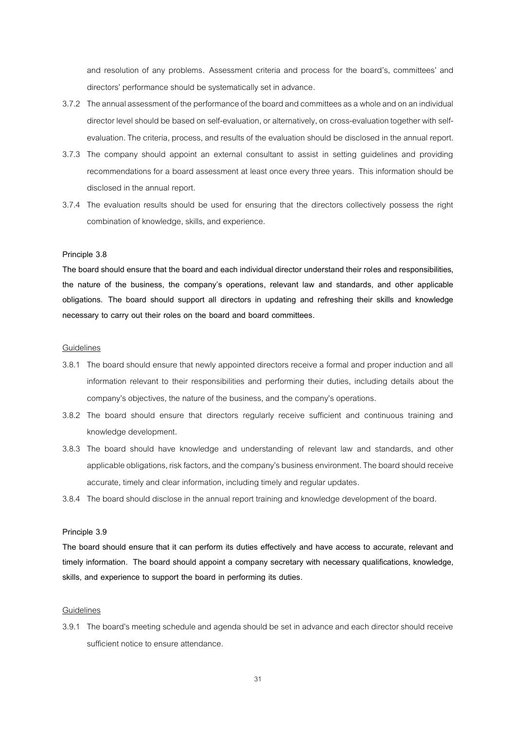and resolution of any problems. Assessment criteria and process for the board's, committees' and directors' performance should be systematically set in advance.

- 3.7.2 The annual assessment of the performance of the board and committees as a whole and on an individual director level should be based on self-evaluation, or alternatively, on cross-evaluation together with selfevaluation. The criteria, process, and results of the evaluation should be disclosed in the annual report.
- 3.7.3 The company should appoint an external consultant to assist in setting guidelines and providing recommendations for a board assessment at least once every three years. This information should be disclosed in the annual report.
- 3.7.4 The evaluation results should be used for ensuring that the directors collectively possess the right combination of knowledge, skills, and experience.

#### **Principle 3.8**

**The board should ensure that the board and each individual director understand their roles and responsibilities, the nature of the business, the company's operations, relevant law and standards, and other applicable obligations. The board should support all directors in updating and refreshing their skills and knowledge necessary to carry out their roles on the board and board committees.** 

## Guidelines

- 3.8.1 The board should ensure that newly appointed directors receive a formal and proper induction and all information relevant to their responsibilities and performing their duties, including details about the company's objectives, the nature of the business, and the company's operations.
- 3.8.2 The board should ensure that directors regularly receive sufficient and continuous training and knowledge development.
- 3.8.3 The board should have knowledge and understanding of relevant law and standards, and other applicable obligations, risk factors, and the company's business environment. The board should receive accurate, timely and clear information, including timely and regular updates.
- 3.8.4 The board should disclose in the annual report training and knowledge development of the board.

#### **Principle 3.9**

**The board should ensure that it can perform its duties effectively and have access to accurate, relevant and timely information. The board should appoint a company secretary with necessary qualifications, knowledge, skills, and experience to support the board in performing its duties.**

### Guidelines

3.9.1 The board's meeting schedule and agenda should be set in advance and each director should receive sufficient notice to ensure attendance.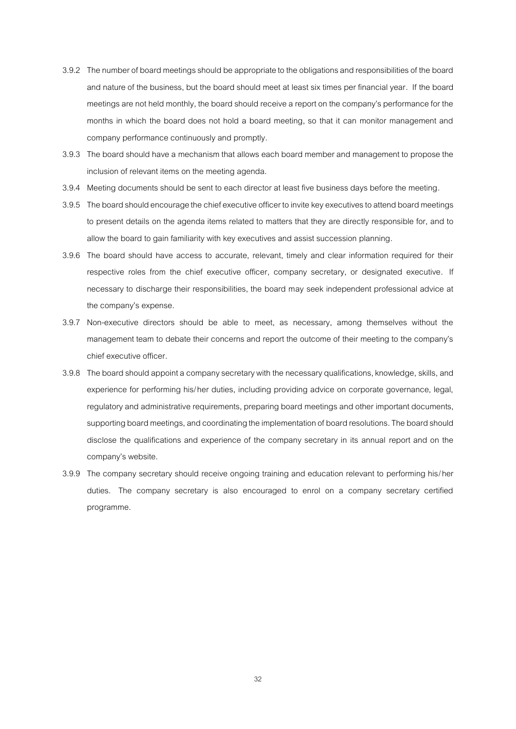- 3.9.2 The number of board meetings should be appropriate to the obligations and responsibilities of the board and nature of the business, but the board should meet at least six times per financial year. If the board meetings are not held monthly, the board should receive a report on the company's performance for the months in which the board does not hold a board meeting, so that it can monitor management and company performance continuously and promptly.
- 3.9.3 The board should have a mechanism that allows each board member and management to propose the inclusion of relevant items on the meeting agenda.
- 3.9.4 Meeting documents should be sent to each director at least five business days before the meeting.
- 3.9.5 The board should encourage the chief executive officer to invite key executives to attend board meetings to present details on the agenda items related to matters that they are directly responsible for, and to allow the board to gain familiarity with keyexecutives and assist succession planning.
- 3.9.6 The board should have access to accurate, relevant, timely and clear information required for their respective roles from the chief executive officer, company secretary, or designated executive. If necessary to discharge their responsibilities, the board may seek independent professional advice at the company's expense.
- 3.9.7 Non-executive directors should be able to meet, as necessary, among themselves without the management team to debate their concerns and report the outcome of their meeting to the company's chief executive officer.
- 3.9.8 The board should appoint a company secretary with the necessary qualifications, knowledge, skills, and experience for performing his/her duties, including providing advice on corporate governance, legal, regulatory and administrative requirements, preparing board meetings and other important documents, supporting board meetings, and coordinating the implementation of board resolutions. The board should disclose the qualifications and experience of the company secretary in its annual report and on the company's website.
- 3.9.9 The company secretary should receive ongoing training and education relevant to performing his/her duties. The company secretary is also encouraged to enrol on a company secretary certified programme.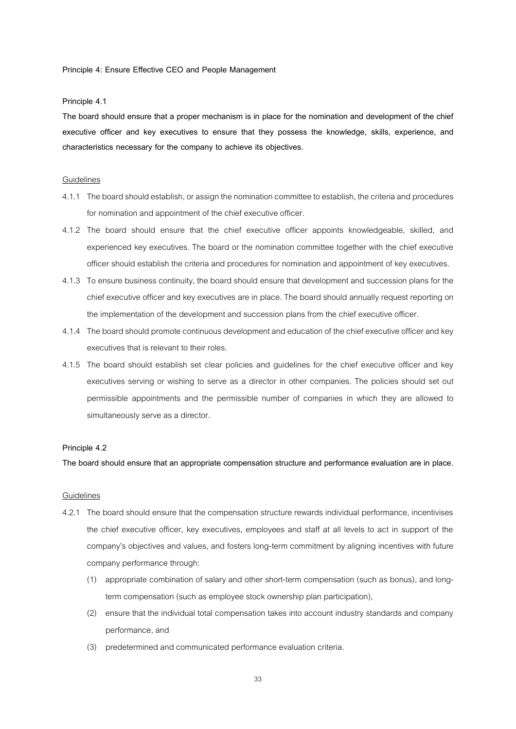**Principle 4: Ensure Effective CEO and People Management**

### **Principle 4.1**

**The board should ensure that a proper mechanism is in place for the nomination and development of the chief executive officer and key executives to ensure that they possess the knowledge, skills, experience, and characteristics necessary for the company to achieve its objectives.**

#### Guidelines

- 4.1.1 The board should establish, or assign the nomination committee to establish, the criteria and procedures for nomination and appointment of the chief executive officer.
- 4.1.2 The board should ensure that the chief executive officer appoints knowledgeable, skilled, and experienced key executives. The board or the nomination committee together with the chief executive officer should establish the criteria and procedures fornomination and appointment of key executives.
- 4.1.3 To ensure business continuity, the board should ensure that development and succession plans for the chief executive officer and key executives are in place. The board should annually request reporting on the implementation of the development and succession plans from the chief executive officer.
- 4.1.4 The board should promote continuous development and education of the chief executive officer and key executives that is relevant to their roles.
- 4.1.5 The board should establish set clear policies and guidelines for the chief executive officer and key executives serving or wishing to serve as a director in other companies. The policies should set out permissible appointments and the permissible number of companies in which they are allowed to simultaneously serve as a director.

#### **Principle 4.2**

**The board should ensure that an appropriate compensation structure and performance evaluation are in place.**

- 4.2.1 The board should ensure that the compensation structure rewards individual performance, incentivises the chief executive officer, key executives, employees and staff at all levels to act in support of the company's objectives and values, and fosters long-term commitment by aligning incentives with future company performance through:
	- (1) appropriate combination of salary and other short-term compensation (such as bonus), and longterm compensation (such as employee stock ownership plan participation),
	- (2) ensure that the individual total compensation takes into account industry standards and company performance, and
	- (3) predetermined and communicated performance evaluation criteria.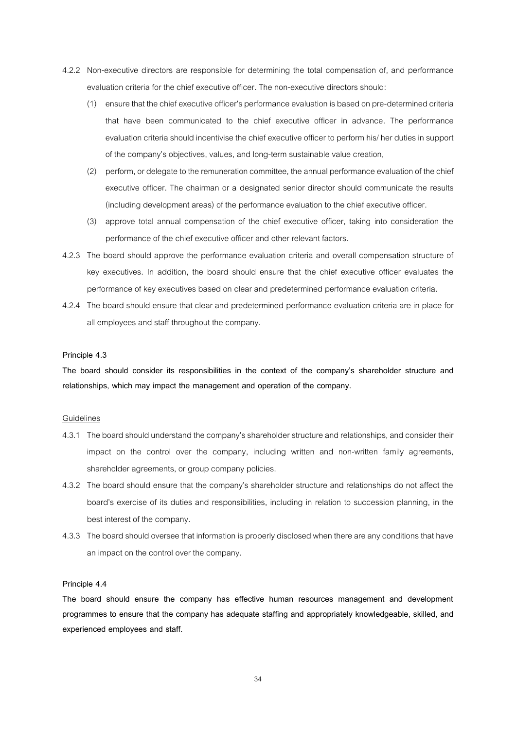- 4.2.2 Non-executive directors are responsible for determining the total compensation of, and performance evaluation criteria for the chief executive officer. The non-executive directors should:
	- (1) ensure that the chief executive officer's performance evaluation is based on pre-determined criteria that have been communicated to the chief executive officer in advance. The performance evaluation criteria should incentivise the chief executive officer to perform his/ her duties in support of the company's objectives, values, and long-term sustainable value creation,
	- (2) perform, or delegate to the remuneration committee, theannual performance evaluation of the chief executive officer. The chairman or a designated senior director should communicate the results (including development areas) of the performance evaluation to the chief executive officer.
	- (3) approve total annual compensation of the chief executive officer, taking into consideration the performance of the chief executive officer and other relevant factors.
- 4.2.3 The board should approve the performance evaluation criteria and overall compensation structure of key executives. In addition, the board should ensure that the chief executive officer evaluates the performance of key executives based on clear and predetermined performance evaluation criteria.
- 4.2.4 The board should ensure that clear and predetermined performance evaluation criteria are in place for all employees and staff throughout the company.

### **Principle 4.3**

**The board should consider its responsibilities in the context of the company's shareholder structure and relationships, which may impact the management and operation of the company.** 

#### Guidelines

- 4.3.1 The board should understand the company's shareholder structure and relationships, and consider their impact on the control over the company, including written and non-written family agreements, shareholder agreements, or group company policies.
- 4.3.2 The board should ensure that the company's shareholder structure and relationships do not affect the board's exercise of its duties and responsibilities, including in relation to succession planning, in the best interest of the company.
- 4.3.3 The board should oversee that information is properly disclosed when there are any conditions that have an impact on the control over the company.

#### **Principle 4.4**

**The board should ensure the company has effective human resources management and development programmes to ensure that the company has adequate staffing and appropriately knowledgeable, skilled, and experienced employees and staff.**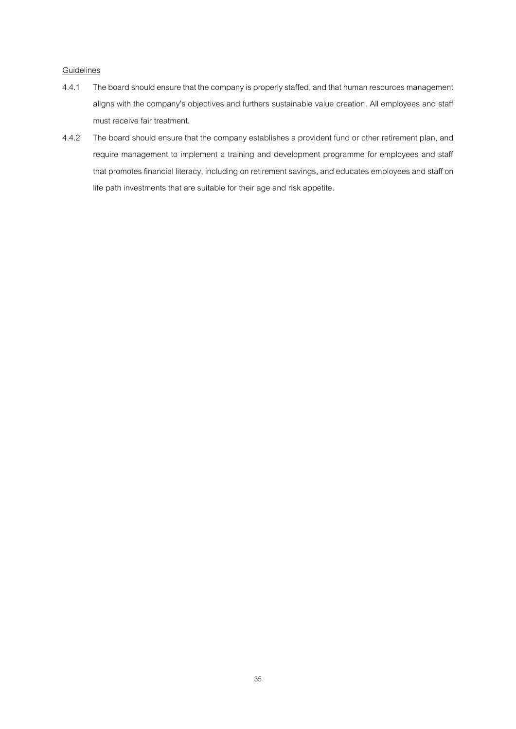- 4.4.1 The board should ensure that the company is properly staffed, and that human resources management aligns with the company's objectives and furthers sustainable value creation. All employees and staff must receive fair treatment.
- 4.4.2 The board should ensure that the company establishes a provident fund or other retirement plan, and require management to implement a training and development programme for employees and staff that promotes financial literacy, including on retirement savings, and educates employees and staff on life path investments that are suitable for their age and risk appetite.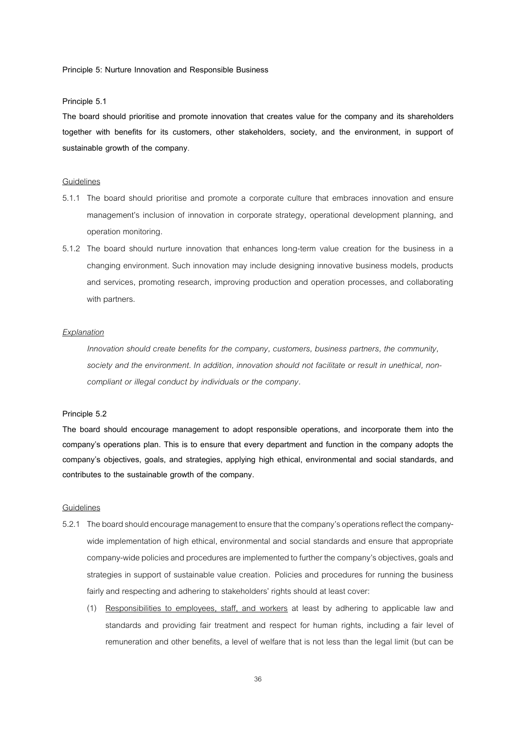**Principle 5: Nurture Innovation and Responsible Business**

#### **Principle 5.1**

**The board should prioritise and promote innovation that creates value for the company and its shareholders together with benefits for its customers, other stakeholders, society, and the environment, in support of sustainable growth of the company**.

#### Guidelines

- 5.1.1 The board should prioritise and promote a corporate culture that embraces innovation and ensure management's inclusion of innovation in corporate strategy, operational development planning, and operation monitoring.
- 5.1.2 The board should nurture innovation that enhances long-term value creation for the business in a changing environment. Such innovation may include designing innovative business models, products and services, promoting research, improving production and operation processes, and collaborating with partners.

#### *Explanation*

*Innovation should create benefits for the company, customers, business partners, the community, society and the environment. In addition, innovation should not facilitate or result in unethical, noncompliant or illegal conduct by individuals or the company.*

### **Principle 5.2**

**The board should encourage management to adopt responsible operations, and incorporate them into the company's operations plan. This is to ensure that every department and function in the company adopts the company's objectives, goals, and strategies, applying high ethical, environmental and social standards, and contributes to the sustainable growth of the company.**

- 5.2.1 The board should encourage management to ensure that the company's operations reflect the companywide implementation of high ethical, environmental and social standards and ensure that appropriate company-wide policies and procedures are implemented to further the company's objectives, goals and strategies in support of sustainable value creation. Policies and procedures for running the business fairly and respecting and adhering to stakeholders' rights should at least cover:
	- (1) Responsibilities to employees, staff, and workers at least by adhering to applicable law and standards and providing fair treatment and respect for human rights, including a fair level of remuneration and other benefits, a level of welfare that is not less than the legal limit (but can be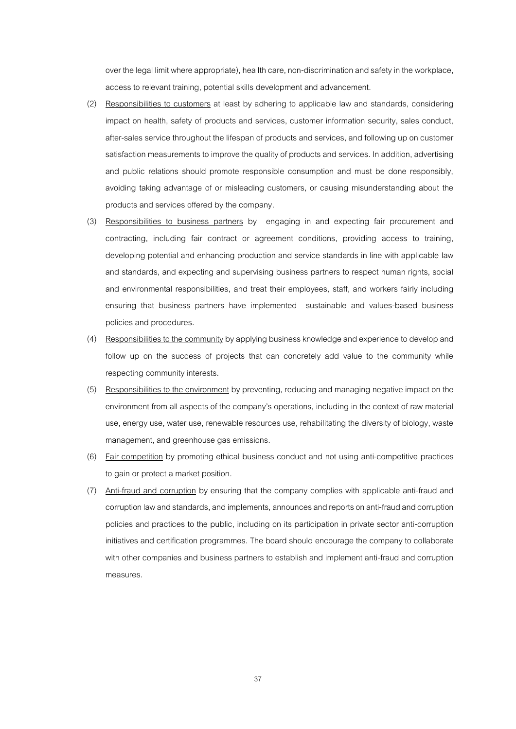over the legal limit where appropriate), health care, non-discrimination and safety in the workplace, access to relevant training, potential skills development and advancement.

- (2) Responsibilities to customers at least by adhering to applicable law and standards, considering impact on health, safety of products and services, customer information security, sales conduct, after-sales service throughout the lifespan of products and services, and following up on customer satisfaction measurements to improve the quality of products and services. In addition, advertising and public relations should promote responsible consumption and must be done responsibly, avoiding taking advantage of or misleading customers, or causing misunderstanding about the products and services offered by the company.
- (3) Responsibilities to business partners by engaging in and expecting fair procurement and contracting, including fair contract or agreement conditions, providing access to training, developing potential and enhancing production and service standards in line with applicable law and standards, and expecting and supervising business partners to respect human rights, social and environmental responsibilities, and treat their employees, staff, and workers fairly including ensuring that business partners have implemented sustainable and values-based business policies and procedures.
- (4) Responsibilities to the community by applying business knowledge and experience to develop and follow up on the success of projects that can concretely add value to the community while respecting community interests.
- (5) Responsibilities to the environment by preventing, reducing and managing negative impact on the environment from all aspects of the company's operations, including in the context of raw material use, energy use, water use, renewable resources use, rehabilitating the diversity of biology, waste management, and greenhouse gas emissions.
- (6) Fair competition by promoting ethical business conduct and not using anti-competitive practices to gain or protect a market position.
- (7) Anti-fraud and corruption by ensuring that the company complies with applicable anti-fraud and corruption law and standards, and implements,announcesand reports on anti-fraud and corruption policies and practices to the public, including on its participation in private sector anti-corruption initiatives and certification programmes. The board should encourage the company to collaborate with other companies and business partners to establish and implement anti-fraud and corruption measures.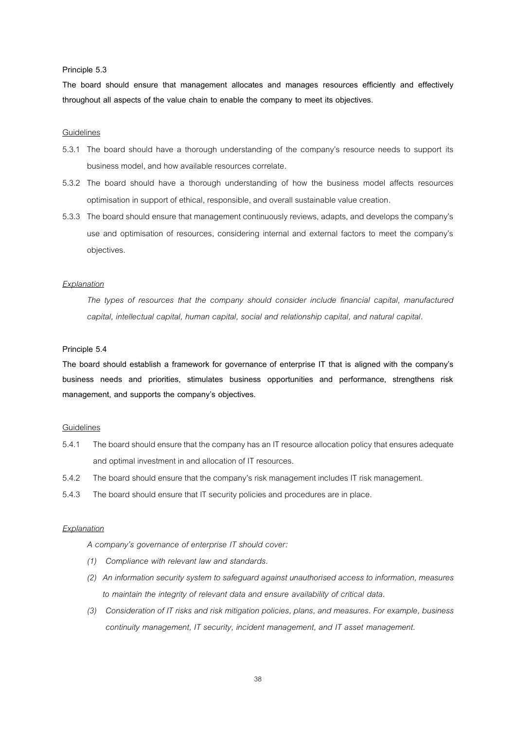#### **Principle 5.3**

**The board should ensure that management allocates and manages resources efficiently and effectively throughout all aspects of the value chain to enable the company to meet its objectives.**

### Guidelines

- 5.3.1 The board should have a thorough understanding of the company's resource needs to support its business model, and how available resources correlate.
- 5.3.2 The board should have a thorough understanding of how the business model affects resources optimisation in support of ethical, responsible, and overall sustainable value creation.
- 5.3.3 The board should ensure that management continuously reviews, adapts, and develops the company's use and optimisation of resources, considering internal and external factors to meet the company's objectives.

#### *Explanation*

*The types of resources that the company should consider include financial capital, manufactured capital, intellectual capital, human capital, social and relationship capital, and natural capital.*

### **Principle 5.4**

**The board should establish a framework for governance of enterprise IT that is aligned with the company's business needs and priorities, stimulates business opportunities and performance, strengthens risk management, and supports the company's objectives.**

### Guidelines

- 5.4.1 The board should ensure that the company has an IT resource allocation policy that ensures adequate and optimal investment in and allocation of IT resources.
- 5.4.2 The board should ensure that the company's risk management includes IT risk management.
- 5.4.3 The board should ensure that IT security policies and procedures are in place.

### *Explanation*

*A company's governance of enterprise IT should cover:*

- *(1) Compliance with relevant law and standards.*
- *(2) An information security system to safeguard against unauthorised access to information, measures to maintain the integrity of relevant data and ensure availability of critical data.*
- *(3) Consideration of IT risks and risk mitigation policies, plans, and measures. For example, business continuity management, IT security, incident management, and IT asset management.*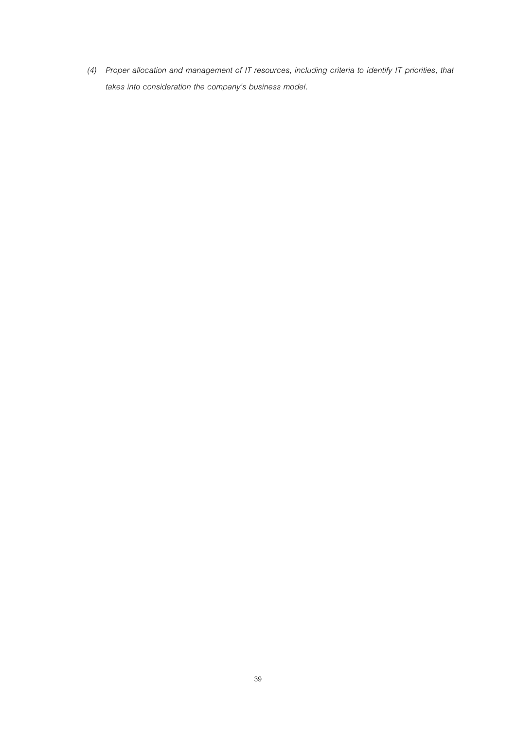*(4) Proper allocation and management of IT resources, including criteria to identify IT priorities, that takes into consideration the company's business model.*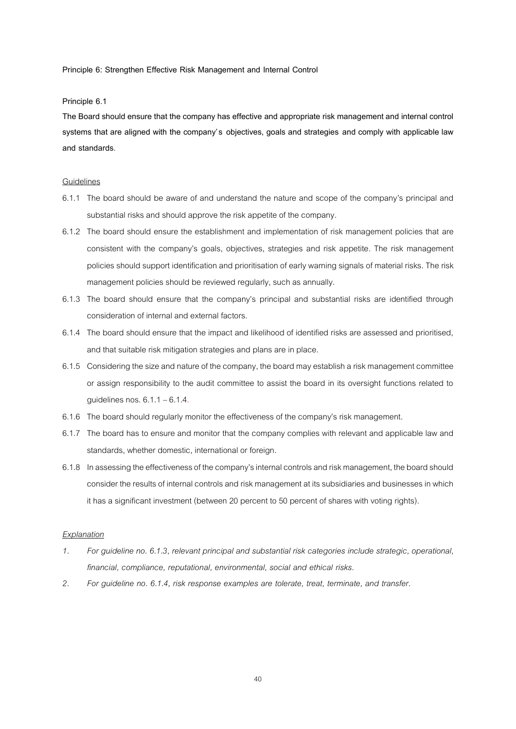**Principle 6: Strengthen Effective Risk Management and Internal Control**

**Principle 6.1**

The Board should ensure that the company has effective and appropriate risk management and internal control **systems that are aligned with the company's objectives, goals and strategies and comply with applicable law and standards**.

#### Guidelines

- 6.1.1 The board should be aware of and understand the nature and scope of the company's principal and substantial risks and should approve the risk appetite of the company.
- 6.1.2 The board should ensure the establishment and implementation of risk management policies that are consistent with the company's goals, objectives, strategies and risk appetite. The risk management policies should support identification and prioritisation of early warning signals of material risks. The risk management policies should be reviewed regularly, such as annually.
- 6.1.3 The board should ensure that the company's principal and substantial risks are identified through consideration of internal and external factors.
- 6.1.4 The board should ensure that the impact and likelihood of identified risks are assessed and prioritised, and that suitable risk mitigation strategies and plans are in place.
- 6.1.5 Considering the size and nature of the company, the board may establish a risk management committee or assign responsibility to the audit committee to assist the board in its oversight functions related to guidelines nos.  $6.1.1 - 6.1.4$ .
- 6.1.6 The board should regularly monitor the effectiveness of the company's risk management.
- 6.1.7 The board has to ensure and monitor that the company complies with relevant and applicable law and standards, whether domestic, international or foreign.
- 6.1.8 In assessing the effectiveness of the company's internal controls and risk management, the board should consider the results of internal controls and risk management at its subsidiaries and businesses in which it has a significant investment (between 20 percent to 50 percent of shares with voting rights).

### *Explanation*

- *1. For guideline no. 6.1.3, relevant principal and substantial risk categories include strategic, operational, financial, compliance, reputational, environmental, social and ethical risks.*
- *2. For guideline no. 6.1.4, risk response examples are tolerate, treat, terminate, and transfer.*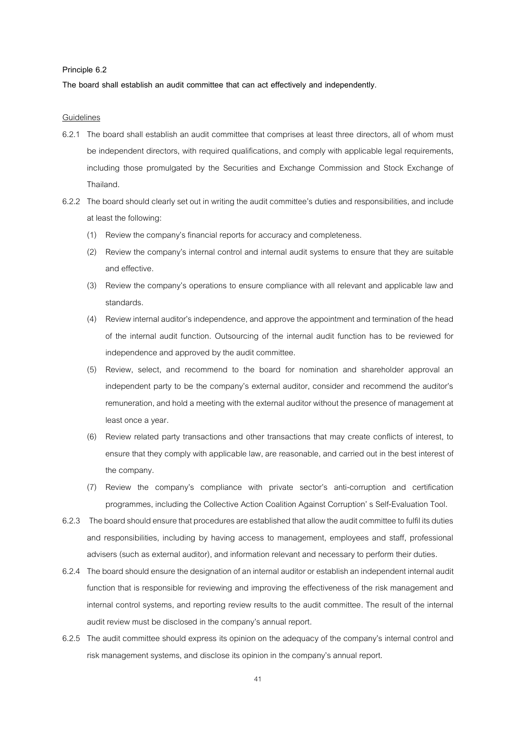#### **Principle 6.2**

**The board shall establish an audit committee that can act effectively and independently.**

- 6.2.1 The board shall establish an audit committee that comprises at least three directors, all of whom must be independent directors, with required qualifications, and comply with applicable legal requirements, including those promulgated by the Securities and Exchange Commission and Stock Exchange of Thailand.
- 6.2.2 The board should clearly set out in writing the audit committee's duties and responsibilities, and include at least the following:
	- (1) Review the company's financial reports for accuracy and completeness.
	- (2) Review the company's internal control and internal audit systems to ensure that they are suitable and effective.
	- (3) Review the company's operations to ensure compliance with all relevant and applicable law and standards.
	- (4) Review internal auditor's independence, and approve the appointmentand termination of the head of the internal audit function. Outsourcing of the internal audit function has to be reviewed for independence and approved by the audit committee.
	- (5) Review, select, and recommend to the board for nomination and shareholder approval an independent party to be the company's external auditor, consider and recommend the auditor's remuneration, and hold a meeting with the external auditor without the presence of management at least once a year.
	- (6) Review related party transactions and other transactions that may create conflicts of interest, to ensure that they comply with applicable law, are reasonable, and carried out in the best interest of the company.
	- (7) Review the company's compliance with private sector's anti-corruption and certification programmes, including the Collective Action Coalition Against Corruption' s Self-Evaluation Tool.
- 6.2.3 The board should ensure that procedures are established that allow the audit committee to fulfil its duties and responsibilities, including by having access to management, employees and staff, professional advisers (such as external auditor), and information relevant and necessary to perform their duties.
- 6.2.4 The board should ensure the designation of an internal auditor or establish an independent internal audit function that is responsible for reviewing and improving the effectiveness of the risk management and internal control systems, and reporting review results to the audit committee. The result of the internal audit review must be disclosed in the company's annual report.
- 6.2.5 The audit committee should express its opinion on the adequacy of the company's internal control and risk management systems, and disclose its opinion in the company's annual report.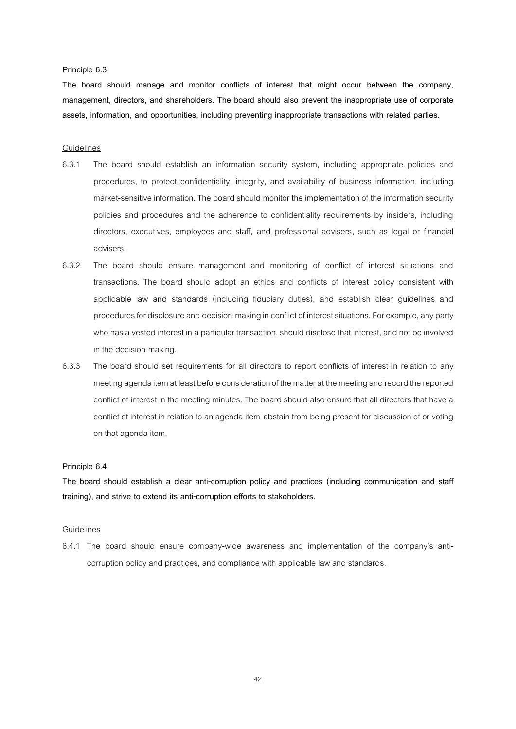#### **Principle 6.3**

**The board should manage and monitor conflicts of interest that might occur between the company, management, directors, and shareholders. The board should also prevent the inappropriate use of corporate assets, information, and opportunities, including preventing inappropriate transactions with related parties.**

#### **Guidelines**

- 6.3.1 The board should establish an information security system, including appropriate policies and procedures, to protect confidentiality, integrity, and availability of business information, including market-sensitive information. The board should monitor the implementation of the information security policies and procedures and the adherence to confidentiality requirements by insiders, including directors, executives, employees and staff, and professional advisers, such as legal or financial advisers.
- 6.3.2 The board should ensure management and monitoring of conflict of interest situations and transactions. The board should adopt an ethics and conflicts of interest policy consistent with applicable law and standards (including fiduciary duties), and establish clear guidelines and procedures for disclosure and decision-making in conflict of interest situations.For example, any party who has a vested interest in a particular transaction, should disclose that interest, and not be involved in the decision-making.
- 6.3.3 The board should set requirements for all directors to report conflicts of interest in relation to any meeting agenda item at least before consideration of the matter at the meeting and record the reported conflict of interest in the meeting minutes. The board should also ensure that all directors that have a conflict of interest in relation to an agenda item abstain from being present for discussion of or voting on that agenda item.

#### **Principle 6.4**

**The board should establish a clear anti-corruption policy and practices (including communication and staff training), and strive to extend its anti-corruption efforts to stakeholders.**

#### **Guidelines**

6.4.1 The board should ensure company-wide awareness and implementation of the company's anticorruption policy and practices, and compliance with applicable law and standards.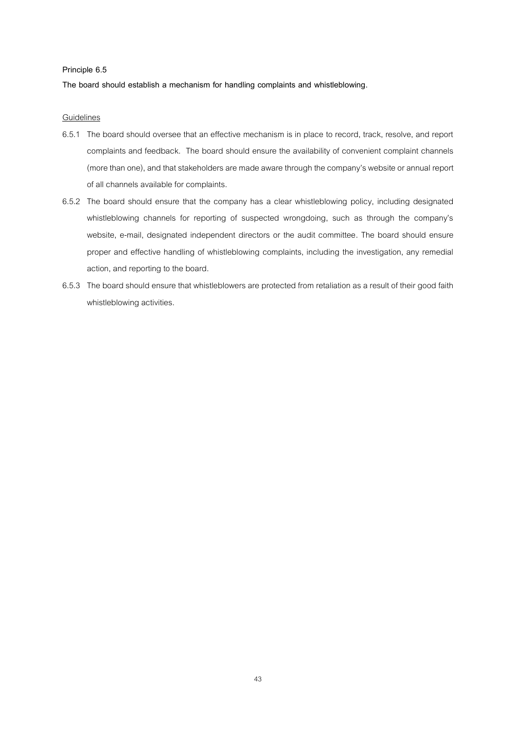### **Principle 6.5**

**The board should establish a mechanism for handling complaints and whistleblowing.** 

- 6.5.1 The board should oversee that an effective mechanism is in place to record, track, resolve, and report complaints and feedback. The board should ensure the availability of convenient complaint channels (more than one), and that stakeholders are made aware through the company's website or annual report ofall channels available for complaints.
- 6.5.2 The board should ensure that the company has a clear whistleblowing policy, including designated whistleblowing channels for reporting of suspected wrongdoing, such as through the company's website, e-mail, designated independent directors or the audit committee. The board should ensure proper and effective handling of whistleblowing complaints, including the investigation, any remedial action, and reporting to the board.
- 6.5.3 The board should ensure that whistleblowers are protected from retaliation as a result of their good faith whistleblowing activities.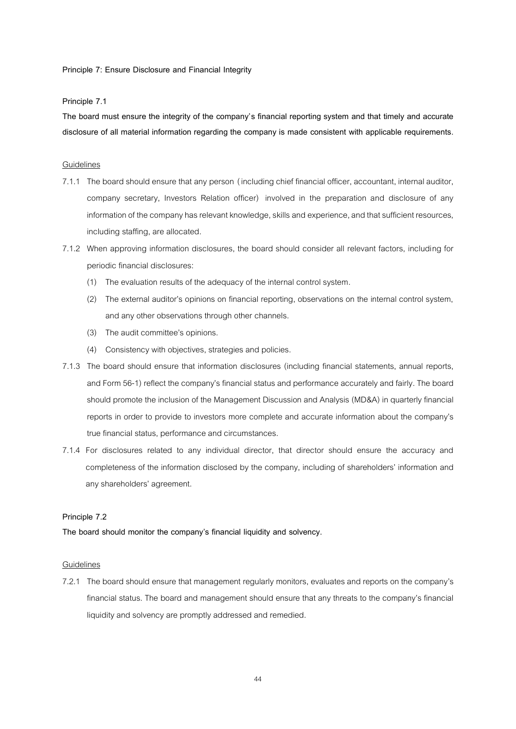### **Principle 7: Ensure Disclosure and Financial Integrity**

### **Principle 7.1**

**The board must ensure the integrity of the company's financial reporting system and that timely and accurate disclosure of all material information regarding the company is made consistent with applicable requirements.** 

### **Guidelines**

- 7.1.1 The board should ensure that any person (including chief financial officer, accountant, internal auditor, company secretary, Investors Relation officer) involved in the preparation and disclosure of any information of the company has relevant knowledge, skills and experience, and that sufficient resources, including staffing, are allocated.
- 7.1.2 When approving information disclosures, the board should consider all relevant factors, including for periodic financial disclosures:
	- (1) The evaluation results of the adequacy of the internal control system.
	- (2) The external auditor's opinions on financial reporting, observations on the internal control system, and any other observations through other channels.
	- (3) The audit committee's opinions.
	- (4) Consistency with objectives, strategies and policies.
- 7.1.3 The board should ensure that information disclosures (including financial statements, annual reports, and Form 56-1) reflect the company's financial status and performance accurately and fairly. The board should promote the inclusion of the Management Discussion and Analysis (MD&A) in quarterly financial reports in order to provide to investors more complete and accurate information about the company's true financial status, performance and circumstances.
- 7.1.4 For disclosures related to any individual director, that director should ensure the accuracy and completeness of the information disclosed by the company, including of shareholders' information and any shareholders' agreement.

### **Principle 7.2**

**The board should monitor the company's financial liquidity and solvency.**

### Guidelines

7.2.1 The board should ensure that management regularly monitors, evaluates and reports on the company's financial status. The board and management should ensure that any threats to the company's financial liquidity and solvency are promptly addressed and remedied.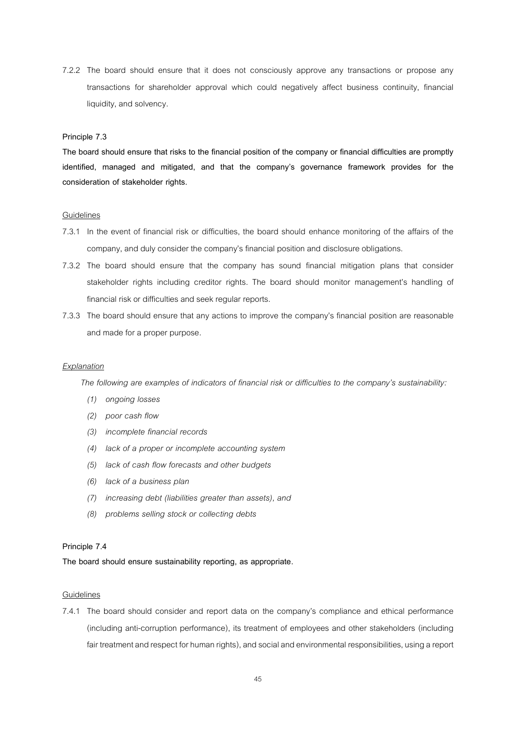7.2.2 The board should ensure that it does not consciously approve any transactions or propose any transactions for shareholder approval which could negatively affect business continuity, financial liquidity, and solvency.

### **Principle 7.3**

**The board should ensure that risks to the financial position of the company or financial difficulties are promptly identified, managed and mitigated, and that the company's governance framework provides for the consideration of stakeholder rights.**

## **Guidelines**

- 7.3.1 In the event of financial risk or difficulties, the board should enhance monitoring of the affairs of the company, and duly consider the company's financial position and disclosure obligations.
- 7.3.2 The board should ensure that the company has sound financial mitigation plans that consider stakeholder rights including creditor rights. The board should monitor management's handling of financial risk or difficulties and seek regular reports.
- 7.3.3 The board should ensure that any actions to improve the company's financial position are reasonable and made for a proper purpose.

#### *Explanation*

*The following are examples of indicators of financial risk or difficulties to the company's sustainability:*

- *(1) ongoing losses*
- *(2) poor cash flow*
- *(3) incomplete financial records*
- *(4) lack of a proper or incomplete accounting system*
- *(5) lack of cash flow forecasts and other budgets*
- *(6) lack of a business plan*
- *(7) increasing debt (liabilities greater than assets), and*
- *(8) problems selling stock or collecting debts*

#### **Principle 7.4**

**The board should ensure sustainability reporting, as appropriate.**

### Guidelines

7.4.1 The board should consider and report data on the company's compliance and ethical performance (including anti-corruption performance), its treatment of employees and other stakeholders (including fair treatment and respect for human rights), and social and environmental responsibilities, using a report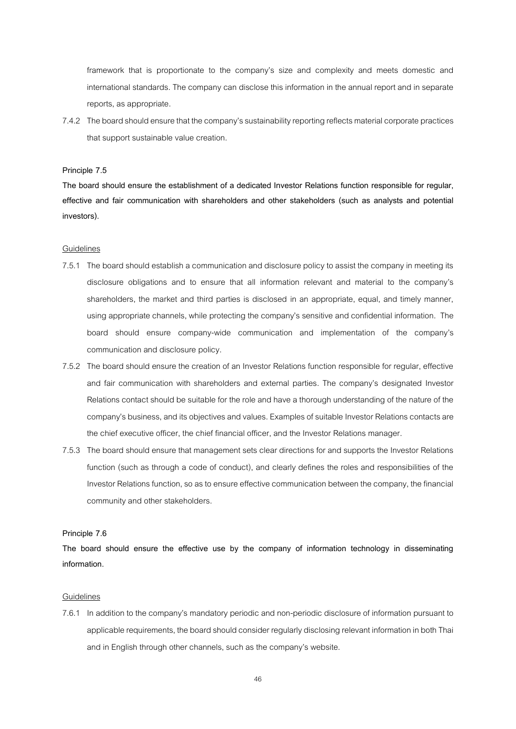framework that is proportionate to the company's size and complexity and meets domestic and international standards. The company can disclose this information in the annual report and in separate reports, as appropriate.

7.4.2 The board should ensure that the company's sustainability reporting reflects material corporate practices that support sustainable value creation.

### **Principle 7.5**

**The board should ensure the establishment of a dedicated Investor Relations function responsible for regular, effective and fair communication with shareholders and other stakeholders (such as analysts and potential investors).**

#### **Guidelines**

- 7.5.1 The board should establish a communication and disclosure policy to assist the company in meeting its disclosure obligations and to ensure that all information relevant and material to the company's shareholders, the market and third parties is disclosed in an appropriate, equal, and timely manner, using appropriate channels, while protecting the company's sensitive and confidential information. The board should ensure company-wide communication and implementation of the company's communication and disclosure policy.
- 7.5.2 The board should ensure the creation of an Investor Relations function responsible for regular, effective and fair communication with shareholders and external parties. The company's designated Investor Relations contact should be suitable for the role and have a thorough understanding of the nature of the company's business,and its objectives and values. Examples of suitable Investor Relations contactsare the chief executive officer, the chief financial officer, and the Investor Relations manager.
- 7.5.3 The board should ensure that management sets clear directions for and supports the Investor Relations function (such as through a code of conduct), and clearly defines the roles and responsibilities of the Investor Relations function, so as to ensure effective communication between the company, the financial community and other stakeholders.

#### **Principle 7.6**

**The board should ensure the effective use by the company of information technology in disseminating information.**

#### **Guidelines**

7.6.1 In addition to the company's mandatory periodic and non-periodic disclosure of information pursuant to applicable requirements, the board should consider regularly disclosing relevant information in both Thai and in English through other channels, such as the company's website.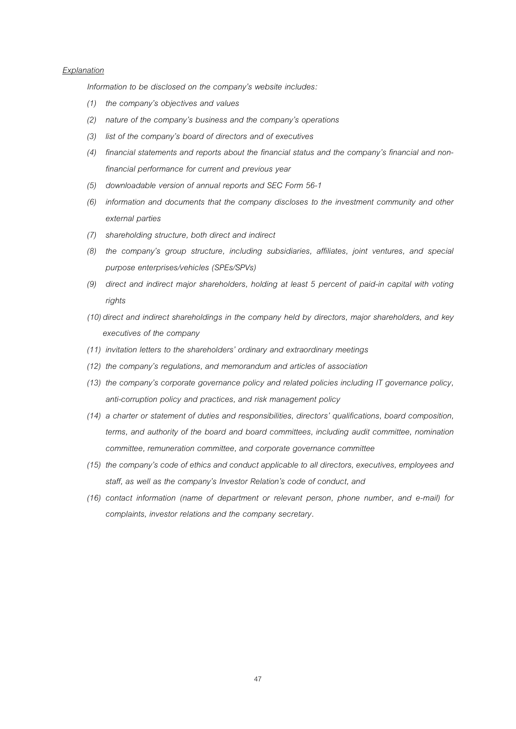### *Explanation*

*Information to be disclosed on the company's website includes:*

- *(1) the company's objectives and values*
- *(2) nature of the company's business and the company's operations*
- *(3) list of the company's board of directors and of executives*
- *(4) financial statements and reports about the financial status and the company's financial and nonfinancial performance for current and previous year*
- *(5) downloadable version of annual reports and SEC Form 56-1*
- *(6) information and documents that the company discloses to the investment community and other external parties*
- *(7) shareholding structure, both direct and indirect*
- *(8) the company's group structure, including subsidiaries, affiliates, joint ventures, and special purpose enterprises/vehicles (SPEs/SPVs)*
- *(9) direct and indirect major shareholders, holding at least 5 percent of paid-in capital with voting rights*
- *(10) direct and indirect shareholdings in the company held by directors, major shareholders, and key executives of the company*
- *(11) invitation letters to the shareholders' ordinary and extraordinary meetings*
- *(12) the company's regulations, and memorandum and articles of association*
- *(13) the company's corporate governance policy and related policies including IT governance policy, anti-corruption policy and practices, and risk management policy*
- *(14) a charter or statement of duties and responsibilities, directors' qualifications, board composition, terms, and authority of the board and board committees, including audit committee, nomination committee, remuneration committee, and corporate governance committee*
- *(15) the company's code of ethics and conduct applicable to all directors, executives, employees and staff, as well as the company's Investor Relation's code of conduct, and*
- *(16) contact information (name of department or relevant person, phone number, and e-mail) for complaints, investor relations and the company secretary.*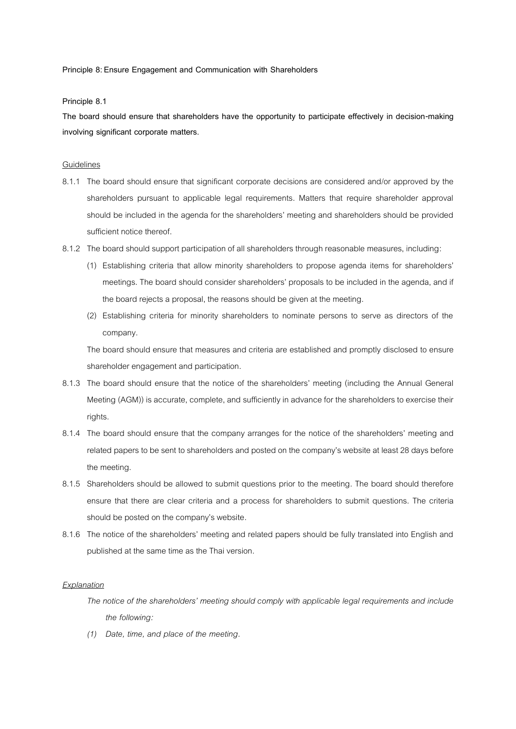### **Principle 8: Ensure Engagement and Communication with Shareholders**

### **Principle 8.1**

**The board should ensure that shareholders have the opportunity to participate effectively in decision-making involving significant corporate matters.**

#### **Guidelines**

- 8.1.1 The board should ensure that significant corporate decisions are considered and/or approved by the shareholders pursuant to applicable legal requirements. Matters that require shareholder approval should be included in the agenda for the shareholders' meeting and shareholders should be provided sufficient notice thereof.
- 8.1.2 The board should support participation of all shareholders through reasonable measures, including:
	- (1) Establishing criteria that allow minority shareholders to propose agenda items for shareholders' meetings. The board should consider shareholders' proposals to be included in the agenda, and if the board rejects a proposal, the reasons should be given at the meeting.
	- (2) Establishing criteria for minority shareholders to nominate persons to serve as directors of the company.

The board should ensure that measures and criteria are established and promptly disclosed to ensure shareholder engagement and participation.

- 8.1.3 The board should ensure that the notice of the shareholders' meeting (including the Annual General Meeting (AGM)) is accurate, complete, and sufficiently in advance for the shareholders to exercise their rights.
- 8.1.4 The board should ensure that the company arranges for the notice of the shareholders' meeting and related papers to be sent to shareholders and posted on the company's website at least 28 days before the meeting.
- 8.1.5 Shareholders should be allowed to submit questions prior to the meeting. The board should therefore ensure that there are clear criteria and a process for shareholders to submit questions. The criteria should be posted on the company's website.
- 8.1.6 The notice of the shareholders' meeting and related papers should be fully translated into English and published at the same time as the Thai version.

#### *Explanation*

*The notice of the shareholders' meeting should comply with applicable legal requirements and include the following:*

*(1) Date, time, and place of the meeting.*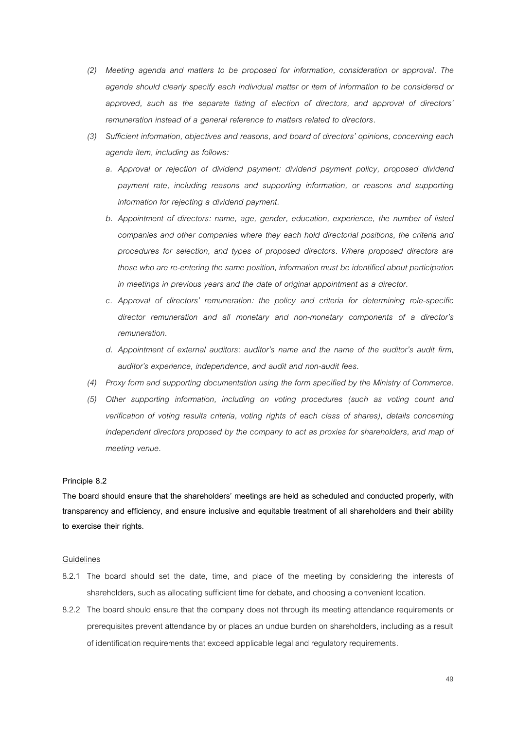- *(2) Meeting agenda and matters to be proposed for information, consideration or approval. The agenda should clearly specify each individual matter or item of information to be considered or approved, such as the separate listing of election of directors, and approval of directors' remuneration instead of a general reference to matters related to directors.*
- *(3) Sufficient information, objectives and reasons, and board of directors' opinions, concerning each agenda item, including as follows:*
	- *a. Approval or rejection of dividend payment: dividend payment policy, proposed dividend payment rate, including reasons and supporting information, or reasons and supporting information for rejecting a dividend payment.*
	- *b. Appointment of directors: name, age, gender, education, experience, the number of listed companies and other companies where they each hold directorial positions, the criteria and procedures for selection, and types of proposed directors. Where proposed directors are those who are re-entering the same position, information must be identified about participation in meetings in previous years and the date of original appointment as a director.*
	- *c. Approval of directors' remuneration: the policy and criteria for determining role-specific director remuneration and all monetary and non-monetary components of a director's remuneration.*
	- *d. Appointment of external auditors: auditor's name and the name of the auditor's audit firm, auditor's experience, independence, and audit and non-audit fees.*
- *(4) Proxy form and supporting documentation using the form specified by the Ministry of Commerce.*
- *(5) Other supporting information, including on voting procedures (such as voting count and verification of voting results criteria, voting rights of each class of shares), details concerning independent directors proposed by the company to act as proxies for shareholders, and map of meeting venue.*

### **Principle 8.2**

**The board should ensure that the shareholders' meetings are held as scheduled and conducted properly, with transparency and efficiency, and ensure inclusive and equitable treatment of all shareholders and their ability to exercise their rights.** 

- 8.2.1 The board should set the date, time, and place of the meeting by considering the interests of shareholders, such as allocating sufficient time for debate, and choosing a convenient location.
- 8.2.2 The board should ensure that the company does not through its meeting attendance requirements or prerequisites prevent attendance by or places an undue burden on shareholders, including as a result of identification requirements that exceed applicable legal and regulatory requirements.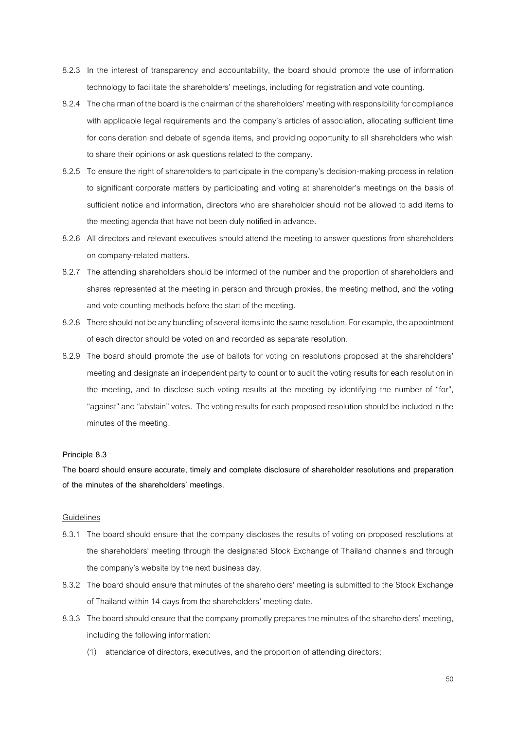- 8.2.3 In the interest of transparency and accountability, the board should promote the use of information technology to facilitate the shareholders' meetings, including for registration and vote counting.
- 8.2.4 The chairman of the board is the chairman of the shareholders' meeting with responsibility for compliance with applicable legal requirements and the company's articles of association, allocating sufficient time for consideration and debate of agenda items, and providing opportunity to all shareholders who wish to share their opinions or ask questions related to the company.
- 8.2.5 To ensure the right of shareholders to participate in the company's decision-making process in relation to significant corporate matters by participating and voting at shareholder's meetings on the basis of sufficient notice and information, directors who are shareholder should not be allowed to add items to the meeting agenda that have not been duly notified in advance.
- 8.2.6 All directors and relevant executives should attend the meeting to answer questions from shareholders on company-related matters.
- 8.2.7 The attending shareholders should be informed of the number and the proportion of shareholders and shares represented at the meeting in person and through proxies, the meeting method, and the voting and vote counting methods before the start of the meeting.
- 8.2.8 There should not be any bundling of several items into the same resolution. For example, the appointment of each director should be voted on and recorded as separate resolution.
- 8.2.9 The board should promote the use of ballots for voting on resolutions proposed at the shareholders' meeting and designate an independent party to count or to audit the voting results for each resolution in the meeting, and to disclose such voting results at the meeting by identifying the number of "for", "against" and "abstain" votes. The voting results for each proposed resolution should be included in the minutes of the meeting.

## **Principle 8.3**

**The board should ensure accurate, timely and complete disclosure of shareholder resolutions and preparation of the minutes of the shareholders' meetings.**

- 8.3.1 The board should ensure that the company discloses the results of voting on proposed resolutions at the shareholders' meeting through the designated Stock Exchange of Thailand channels and through the company's website by the next business day.
- 8.3.2 The board should ensure that minutes of the shareholders' meeting is submitted to the Stock Exchange of Thailand within 14 days from the shareholders' meeting date.
- 8.3.3 The board should ensure that the company promptly prepares the minutes of the shareholders' meeting, including the following information:
	- (1) attendance of directors, executives, and the proportion of attending directors;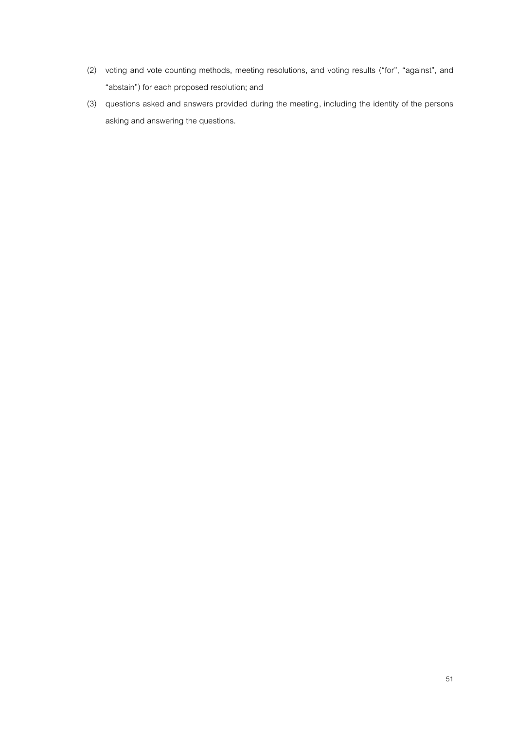- (2) voting and vote counting methods, meeting resolutions, and voting results ("for", "against", and "abstain") for each proposed resolution; and
- (3) questions asked and answers provided during the meeting, including the identity of the persons asking and answering the questions.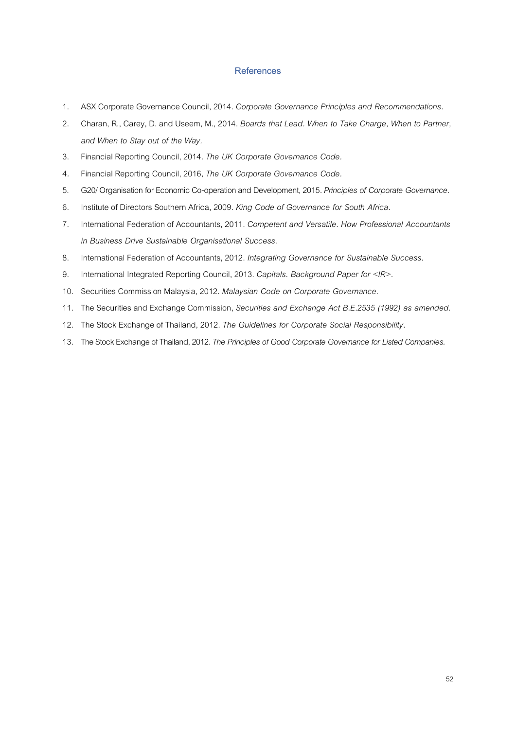## **References**

- . ASX Corporate Governance Council, 2014. *Corporate Governance Principles and Recommendations.*
- . Charan, R., Carey, D. and Useem, M., 2014. *Boards that Lead. When to Take Charge, When to Partner, and When to Stay out of the Way.*
- . Financial Reporting Council, 2014. *The UK Corporate Governance Code.*
- *.* Financial Reporting Council, 2016*,The UK Corporate Governance Code.*
- . G20/ Organisation for Economic Co-operation and Development, 2015. *Principles of Corporate Governance.*
- . Institute of Directors Southern Africa, 2009. *King Code of Governance for South Africa*.
- . International Federation of Accountants, 2011. *Competent and Versatile. How Professional Accountants in Business Drive Sustainable Organisational Success*.
- . International Federation of Accountants, 2012. *Integrating Governance for Sustainable Success.*
- . International Integrated Reporting Council, 2013. *Capitals. Background Paper for <IR>.*
- . Securities Commission Malaysia, 2012. *Malaysian Code on Corporate Governance*.
- . The Securities and Exchange Commission, *Securities and Exchange Act B.E.2535 (1992) as amended*.
- . The Stock Exchange of Thailand, 2012. *The Guidelines for Corporate Social Responsibility*.
- . The Stock Exchange of Thailand, 2012. *The Principles of Good Corporate Governance for Listed Companies.*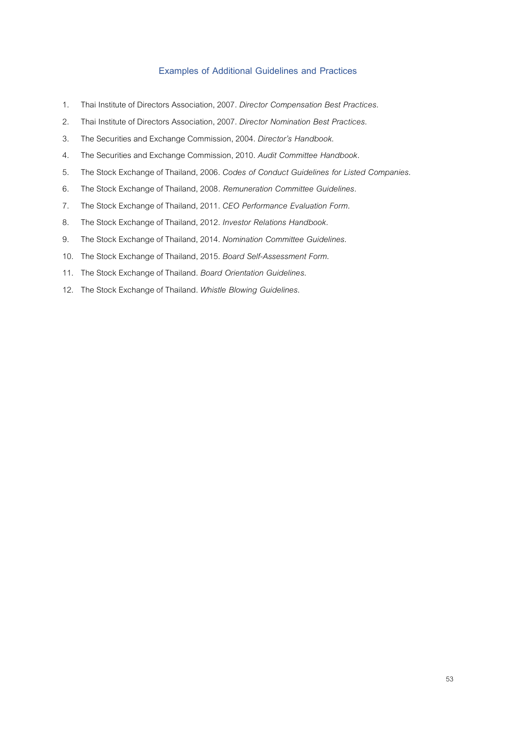## **Examples of Additional Guidelines and Practices**

- 1. Thai Instituteof Directors Association, 2007. *Director Compensation Best Practices*.
- 2. Thai Institute of Directors Association, 2007. *Director Nomination Best Practices*.
- . The Securities and Exchange Commission, 2004. *Director's Handbook*.
- . The Securities and Exchange Commission, 2010. *Audit Committee Handbook.*
- . The Stock Exchange of Thailand, 2006. *Codes of Conduct Guidelines for Listed Companies*.
- . The Stock Exchange of Thailand, 2008*. Remuneration Committee Guidelines*.
- . The Stock Exchange of Thailand, 2011. *CEO Performance Evaluation Form.*
- . The Stock Exchange of Thailand, 2012. *Investor Relations Handbook.*
- . The Stock Exchange of Thailand, 2014. *Nomination Committee Guidelines*.
- . The Stock Exchange of Thailand, 2015. *Board Self-Assessment Form*.
- . The Stock Exchange of Thailand. *Board Orientation Guidelines*.
- . The Stock Exchange of Thailand. *Whistle Blowing Guidelines*.